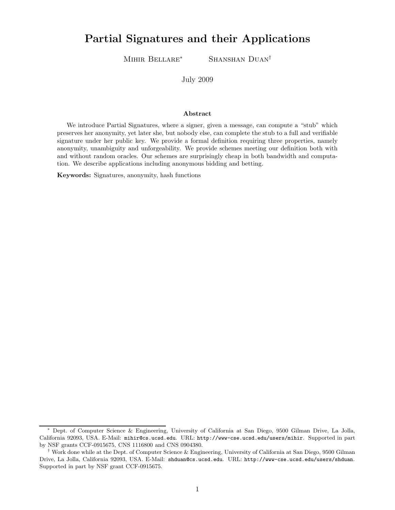# Partial Signatures and their Applications

Mihir Bellare<sup>∗</sup> Shanshan Duan†

July 2009

#### Abstract

We introduce Partial Signatures, where a signer, given a message, can compute a "stub" which preserves her anonymity, yet later she, but nobody else, can complete the stub to a full and verifiable signature under her public key. We provide a formal definition requiring three properties, namely anonymity, unambiguity and unforgeability. We provide schemes meeting our definition both with and without random oracles. Our schemes are surprisingly cheap in both bandwidth and computation. We describe applications including anonymous bidding and betting.

Keywords: Signatures, anonymity, hash functions

<sup>∗</sup> Dept. of Computer Science & Engineering, University of California at San Diego, 9500 Gilman Drive, La Jolla, California 92093, USA. E-Mail: mihir@cs.ucsd.edu. URL: http://www-cse.ucsd.edu/users/mihir. Supported in part by NSF grants CCF-0915675, CNS 1116800 and CNS 0904380.

<sup>†</sup> Work done while at the Dept. of Computer Science & Engineering, University of California at San Diego, 9500 Gilman Drive, La Jolla, California 92093, USA. E-Mail: shduan@cs.ucsd.edu. URL: http://www-cse.ucsd.edu/users/shduan. Supported in part by NSF grant CCF-0915675.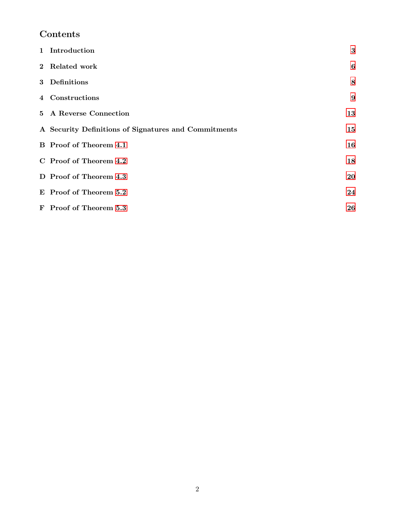# Contents

| 1 Introduction                                       | $\bf{3}$         |
|------------------------------------------------------|------------------|
| 2 Related work                                       | 6                |
| 3 Definitions                                        | 8                |
| 4 Constructions                                      | $\boldsymbol{9}$ |
| 5 A Reverse Connection                               | 13               |
| A Security Definitions of Signatures and Commitments | 15               |
| <b>B</b> Proof of Theorem 4.1                        | 16               |
| C Proof of Theorem 4.2                               | 18               |
| D Proof of Theorem 4.3                               | 20               |
| E Proof of Theorem 5.2                               | 24               |
| F Proof of Theorem 5.3                               | 26               |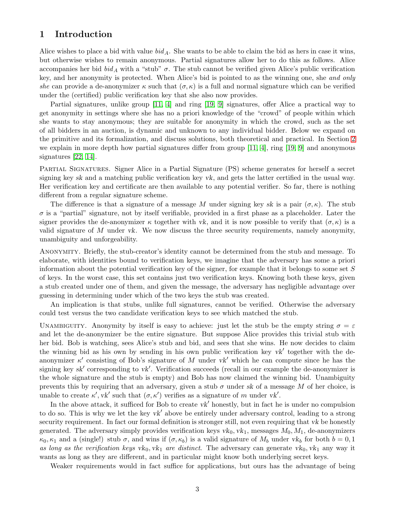#### <span id="page-2-1"></span><span id="page-2-0"></span>1 Introduction

Alice wishes to place a bid with value  $bid_A$ . She wants to be able to claim the bid as hers in case it wins, but otherwise wishes to remain anonymous. Partial signatures allow her to do this as follows. Alice accompanies her bid  $bid_A$  with a "stub"  $\sigma$ . The stub cannot be verified given Alice's public verification key, and her anonymity is protected. When Alice's bid is pointed to as the winning one, she and only she can provide a de-anonymizer  $\kappa$  such that  $(\sigma, \kappa)$  is a full and normal signature which can be verified under the (certified) public verification key that she also now provides.

Partial signatures, unlike group [\[11,](#page-14-1) [4\]](#page-13-2) and ring [\[19,](#page-14-2) [9\]](#page-14-3) signatures, offer Alice a practical way to get anonymity in settings where she has no a priori knowledge of the "crowd" of people within which she wants to stay anonymous; they are suitable for anonymity in which the crowd, such as the set of all bidders in an auction, is dynamic and unknown to any individual bidder. Below we expand on the primitive and its formalization, and discuss solutions, both theoretical and practical. In Section [2](#page-5-0) we explain in more depth how partial signatures differ from group  $[11, 4]$  $[11, 4]$ , ring  $[19, 9]$  $[19, 9]$  and anonymous signatures [\[22,](#page-14-4) [14\]](#page-14-5).

Partial Signatures. Signer Alice in a Partial Signature (PS) scheme generates for herself a secret signing key sk and a matching public verification key vk, and gets the latter certified in the usual way. Her verification key and certificate are then available to any potential verifier. So far, there is nothing different from a regular signature scheme.

The difference is that a signature of a message M under signing key sk is a pair  $(\sigma, \kappa)$ . The stub  $\sigma$  is a "partial" signature, not by itself verifiable, provided in a first phase as a placeholder. Later the signer provides the de-anonymizer  $\kappa$  together with vk, and it is now possible to verify that  $(\sigma, \kappa)$  is a valid signature of  $M$  under vk. We now discuss the three security requirements, namely anonymity, unambiguity and unforgeability.

Anonymity. Briefly, the stub-creator's identity cannot be determined from the stub and message. To elaborate, with identities bound to verification keys, we imagine that the adversary has some a priori information about the potential verification key of the signer, for example that it belongs to some set  $S$ of keys. In the worst case, this set contains just two verification keys. Knowing both these keys, given a stub created under one of them, and given the message, the adversary has negligible advantage over guessing in determining under which of the two keys the stub was created.

An implication is that stubs, unlike full signatures, cannot be verified. Otherwise the adversary could test versus the two candidate verification keys to see which matched the stub.

UNAMBIGUITY. Anonymity by itself is easy to achieve: just let the stub be the empty string  $\sigma = \varepsilon$ and let the de-anonymizer be the entire signature. But suppose Alice provides this trivial stub with her bid. Bob is watching, sees Alice's stub and bid, and sees that she wins. He now decides to claim the winning bid as his own by sending in his own public verification key  $vk'$  together with the deanonymizer  $\kappa'$  consisting of Bob's signature of M under  $vk'$  which he can compute since he has the signing key sk' corresponding to vk'. Verification succeeds (recall in our example the de-anonymizer is the whole signature and the stub is empty) and Bob has now claimed the winning bid. Unambiguity prevents this by requiring that an adversary, given a stub  $\sigma$  under sk of a message M of her choice, is unable to create  $\kappa'$ ,  $vk'$  such that  $(\sigma, \kappa')$  verifies as a signature of m under vk'.

In the above attack, it sufficed for Bob to create  $vk'$  honestly, but in fact he is under no compulsion to do so. This is why we let the key vk' above be entirely under adversary control, leading to a strong security requirement. In fact our formal definition is stronger still, not even requiring that vk be honestly generated. The adversary simply provides verification keys  $vk_0, vk_1$ , messages  $M_0, M_1$ , de-anonymizers  $\kappa_0, \kappa_1$  and a (single!) stub  $\sigma$ , and wins if  $(\sigma, \kappa_b)$  is a valid signature of  $M_b$  under  $vk_b$  for both  $b = 0, 1$ as long as the verification keys vk<sub>0</sub>, vk<sub>1</sub> are distinct. The adversary can generate vk<sub>0</sub>, vk<sub>1</sub> any way it wants as long as they are different, and in particular might know both underlying secret keys.

Weaker requirements would in fact suffice for applications, but ours has the advantage of being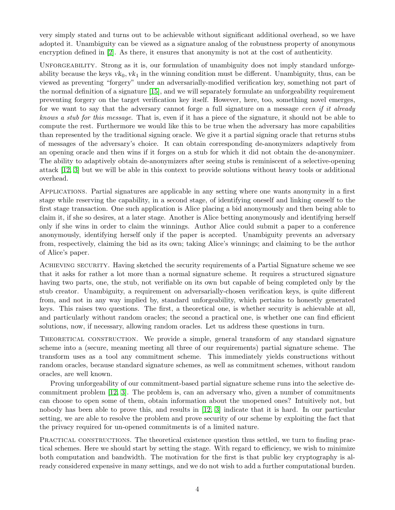<span id="page-3-0"></span>very simply stated and turns out to be achievable without significant additional overhead, so we have adopted it. Unambiguity can be viewed as a signature analog of the robustness property of anonymous encryption defined in [\[2\]](#page-13-3). As there, it ensures that anonymity is not at the cost of authenticity.

UNFORGEABILITY. Strong as it is, our formulation of unambiguity does not imply standard unforgeability because the keys  $vk_0, vk_1$  in the winning condition must be different. Unambiguity, thus, can be viewed as preventing "forgery" under an adversarially-modified verification key, something not part of the normal definition of a signature [\[15\]](#page-14-6), and we will separately formulate an unforgeability requirement preventing forgery on the target verification key itself. However, here, too, something novel emerges, for we want to say that the adversary cannot forge a full signature on a message even if it already knows a stub for this message. That is, even if it has a piece of the signature, it should not be able to compute the rest. Furthermore we would like this to be true when the adversary has more capabilities than represented by the traditional signing oracle. We give it a partial signing oracle that returns stubs of messages of the adversary's choice. It can obtain corresponding de-anonymizers adaptively from an opening oracle and then wins if it forges on a stub for which it did not obtain the de-anonymizer. The ability to adaptively obtain de-anonymizers after seeing stubs is reminiscent of a selective-opening attack [\[12,](#page-14-7) [3\]](#page-13-4) but we will be able in this context to provide solutions without heavy tools or additional overhead.

Applications. Partial signatures are applicable in any setting where one wants anonymity in a first stage while reserving the capability, in a second stage, of identifying oneself and linking oneself to the first stage transaction. One such application is Alice placing a bid anonymously and then being able to claim it, if she so desires, at a later stage. Another is Alice betting anonymously and identifying herself only if she wins in order to claim the winnings. Author Alice could submit a paper to a conference anonymously, identifying herself only if the paper is accepted. Unambiguity prevents an adversary from, respectively, claiming the bid as its own; taking Alice's winnings; and claiming to be the author of Alice's paper.

Achieving security. Having sketched the security requirements of a Partial Signature scheme we see that it asks for rather a lot more than a normal signature scheme. It requires a structured signature having two parts, one, the stub, not verifiable on its own but capable of being completed only by the stub creator. Unambiguity, a requirement on adversarially-chosen verification keys, is quite different from, and not in any way implied by, standard unforgeability, which pertains to honestly generated keys. This raises two questions. The first, a theoretical one, is whether security is achievable at all, and particularly without random oracles; the second a practical one, is whether one can find efficient solutions, now, if necessary, allowing random oracles. Let us address these questions in turn.

THEORETICAL CONSTRUCTION. We provide a simple, general transform of any standard signature scheme into a (secure, meaning meeting all three of our requirements) partial signature scheme. The transform uses as a tool any commitment scheme. This immediately yields constructions without random oracles, because standard signature schemes, as well as commitment schemes, without random oracles, are well known.

Proving unforgeability of our commitment-based partial signature scheme runs into the selective decommitment problem [\[12,](#page-14-7) [3\]](#page-13-4). The problem is, can an adversary who, given a number of commitments can choose to open some of them, obtain information about the unopened ones? Intuitively not, but nobody has been able to prove this, and results in [\[12,](#page-14-7) [3\]](#page-13-4) indicate that it is hard. In our particular setting, we are able to resolve the problem and prove security of our scheme by exploiting the fact that the privacy required for un-opened commitments is of a limited nature.

PRACTICAL CONSTRUCTIONS. The theoretical existence question thus settled, we turn to finding practical schemes. Here we should start by setting the stage. With regard to efficiency, we wish to minimize both computation and bandwidth. The motivation for the first is that public key cryptography is already considered expensive in many settings, and we do not wish to add a further computational burden.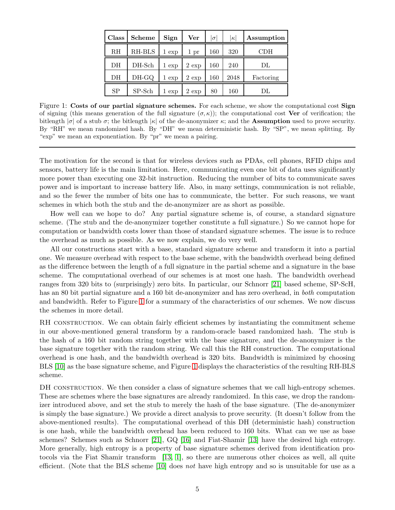<span id="page-4-1"></span>

| Class | <b>Scheme</b> | Sign     | Ver      | $\sigma$ | $ \kappa $ | Assumption |
|-------|---------------|----------|----------|----------|------------|------------|
| RH    | RH-BLS        | 1<br>exp | 1 pr     | 160      | 320        | CDH        |
| DH    | DH-Sch        | $1 \exp$ | $2 \exp$ | 160      | 240        | DL         |
| DH    | DH-GQ         | $1 \exp$ | $2 \exp$ | 160      | 2048       | Factoring  |
| SP    | $SP-Sch$      | $1 \exp$ | $2 \exp$ | 80       | 160        | DL         |

<span id="page-4-0"></span>Figure 1: Costs of our partial signature schemes. For each scheme, we show the computational cost Sign of signing (this means generation of the full signature  $(\sigma, \kappa)$ ); the computational cost **Ver** of verification; the bitlength  $|\sigma|$  of a stub  $\sigma$ ; the bitlength  $|\kappa|$  of the de-anonymizer  $\kappa$ ; and the **Assumption** used to prove security. By "RH" we mean randomized hash. By "DH" we mean deterministic hash. By "SP", we mean splitting. By "exp" we mean an exponentiation. By "pr" we mean a pairing.

The motivation for the second is that for wireless devices such as PDAs, cell phones, RFID chips and sensors, battery life is the main limitation. Here, communicating even one bit of data uses significantly more power than executing one 32-bit instruction. Reducing the number of bits to communicate saves power and is important to increase battery life. Also, in many settings, communication is not reliable, and so the fewer the number of bits one has to communicate, the better. For such reasons, we want schemes in which both the stub and the de-anonymizer are as short as possible.

How well can we hope to do? Any partial signature scheme is, of course, a standard signature scheme. (The stub and the de-anonymizer together constitute a full signature.) So we cannot hope for computation or bandwidth costs lower than those of standard signature schemes. The issue is to reduce the overhead as much as possible. As we now explain, we do very well.

All our constructions start with a base, standard signature scheme and transform it into a partial one. We measure overhead with respect to the base scheme, with the bandwidth overhead being defined as the difference between the length of a full signature in the partial scheme and a signature in the base scheme. The computational overhead of our schemes is at most one hash. The bandwidth overhead ranges from 320 bits to (surprisingly) zero bits. In particular, our Schnorr [\[21\]](#page-14-8) based scheme, SP-ScH, has an 80 bit partial signature and a 160 bit de-anonymizer and has zero overhead, in *both* computation and bandwidth. Refer to Figure [1](#page-4-0) for a summary of the characteristics of our schemes. We now discuss the schemes in more detail.

RH CONSTRUCTION. We can obtain fairly efficient schemes by instantiating the commitment scheme in our above-mentioned general transform by a random-oracle based randomized hash. The stub is the hash of a 160 bit random string together with the base signature, and the de-anonymizer is the base signature together with the random string. We call this the RH construction. The computational overhead is one hash, and the bandwidth overhead is 320 bits. Bandwidth is minimized by choosing BLS [\[10\]](#page-14-9) as the base signature scheme, and Figure [1](#page-4-0) displays the characteristics of the resulting RH-BLS scheme.

DH CONSTRUCTION. We then consider a class of signature schemes that we call high-entropy schemes. These are schemes where the base signatures are already randomized. In this case, we drop the randomizer introduced above, and set the stub to merely the hash of the base signature. (The de-anonymizer is simply the base signature.) We provide a direct analysis to prove security. (It doesn't follow from the above-mentioned results). The computational overhead of this DH (deterministic hash) construction is one hash, while the bandwidth overhead has been reduced to 160 bits. What can we use as base schemes? Schemes such as Schnorr [\[21\]](#page-14-8), GQ [\[16\]](#page-14-10) and Fiat-Shamir [\[13\]](#page-14-11) have the desired high entropy. More generally, high entropy is a property of base signature schemes derived from identification protocols via the Fiat Shamir transform [\[13,](#page-14-11) [1\]](#page-13-5), so there are numerous other choices as well, all quite efficient. (Note that the BLS scheme [\[10\]](#page-14-9) does not have high entropy and so is unsuitable for use as a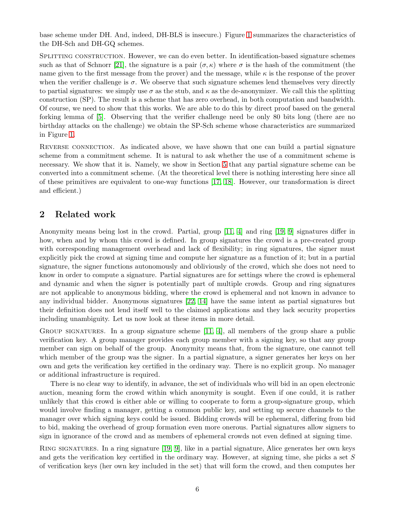<span id="page-5-1"></span>base scheme under DH. And, indeed, DH-BLS is insecure.) Figure [1](#page-4-0) summarizes the characteristics of the DH-Sch and DH-GQ schemes.

SPLITTING CONSTRUCTION. However, we can do even better. In identification-based signature schemes such as that of Schnorr [\[21\]](#page-14-8), the signature is a pair  $(\sigma, \kappa)$  where  $\sigma$  is the hash of the commitment (the name given to the first message from the prover) and the message, while  $\kappa$  is the response of the prover when the verifier challenge is  $\sigma$ . We observe that such signature schemes lend themselves very directly to partial signatures: we simply use  $\sigma$  as the stub, and  $\kappa$  as the de-anonymizer. We call this the splitting construction (SP). The result is a scheme that has zero overhead, in both computation and bandwidth. Of course, we need to show that this works. We are able to do this by direct proof based on the general forking lemma of [\[5\]](#page-13-6). Observing that the verifier challenge need be only 80 bits long (there are no birthday attacks on the challenge) we obtain the SP-Sch scheme whose characteristics are summarized in Figure [1.](#page-4-0)

REVERSE CONNECTION. As indicated above, we have shown that one can build a partial signature scheme from a commitment scheme. It is natural to ask whether the use of a commitment scheme is necessary. We show that it is. Namely, we show in Section [5](#page-12-0) that any partial signature scheme can be converted into a commitment scheme. (At the theoretical level there is nothing interesting here since all of these primitives are equivalent to one-way functions [\[17,](#page-14-12) [18\]](#page-14-13). However, our transformation is direct and efficient.)

# <span id="page-5-0"></span>2 Related work

Anonymity means being lost in the crowd. Partial, group [\[11,](#page-14-1) [4\]](#page-13-2) and ring [\[19,](#page-14-2) [9\]](#page-14-3) signatures differ in how, when and by whom this crowd is defined. In group signatures the crowd is a pre-created group with corresponding management overhead and lack of flexibility; in ring signatures, the signer must explicitly pick the crowd at signing time and compute her signature as a function of it; but in a partial signature, the signer functions autonomously and obliviously of the crowd, which she does not need to know in order to compute a signature. Partial signatures are for settings where the crowd is ephemeral and dynamic and when the signer is potentially part of multiple crowds. Group and ring signatures are not applicable to anonymous bidding, where the crowd is ephemeral and not known in advance to any individual bidder. Anonymous signatures [\[22,](#page-14-4) [14\]](#page-14-5) have the same intent as partial signatures but their definition does not lend itself well to the claimed applications and they lack security properties including unambiguity. Let us now look at these items in more detail.

GROUP SIGNATURES. In a group signature scheme  $[11, 4]$  $[11, 4]$ , all members of the group share a public verification key. A group manager provides each group member with a signing key, so that any group member can sign on behalf of the group. Anonymity means that, from the signature, one cannot tell which member of the group was the signer. In a partial signature, a signer generates her keys on her own and gets the verification key certified in the ordinary way. There is no explicit group. No manager or additional infrastructure is required.

There is no clear way to identify, in advance, the set of individuals who will bid in an open electronic auction, meaning form the crowd within which anonymity is sought. Even if one could, it is rather unlikely that this crowd is either able or willing to cooperate to form a group-signature group, which would involve finding a manager, getting a common public key, and setting up secure channels to the manager over which signing keys could be issued. Bidding crowds will be ephemeral, differing from bid to bid, making the overhead of group formation even more onerous. Partial signatures allow signers to sign in ignorance of the crowd and as members of ephemeral crowds not even defined at signing time.

Ring signatures. In a ring signature [\[19,](#page-14-2) [9\]](#page-14-3), like in a partial signature, Alice generates her own keys and gets the verification key certified in the ordinary way. However, at signing time, she picks a set S of verification keys (her own key included in the set) that will form the crowd, and then computes her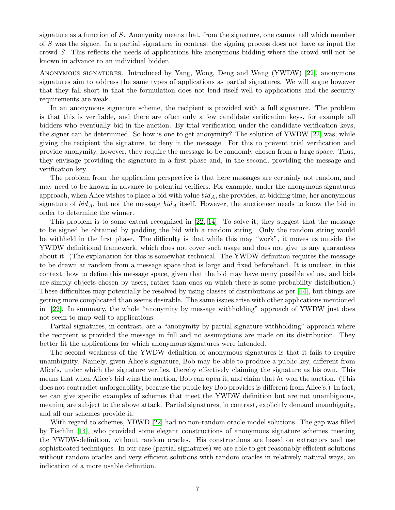<span id="page-6-0"></span>signature as a function of S. Anonymity means that, from the signature, one cannot tell which member of S was the signer. In a partial signature, in contrast the signing process does not have as input the crowd S. This reflects the needs of applications like anonymous bidding where the crowd will not be known in advance to an individual bidder.

Anonymous signatures. Introduced by Yang, Wong, Deng and Wang (YWDW) [\[22\]](#page-14-4), anonymous signatures aim to address the same types of applications as partial signatures. We will argue however that they fall short in that the formulation does not lend itself well to applications and the security requirements are weak.

In an anonymous signature scheme, the recipient is provided with a full signature. The problem is that this is verifiable, and there are often only a few candidate verification keys, for example all bidders who eventually bid in the auction. By trial verification under the candidate verification keys, the signer can be determined. So how is one to get anonymity? The solution of YWDW [\[22\]](#page-14-4) was, while giving the recipient the signature, to deny it the message. For this to prevent trial verification and provide anonymity, however, they require the message to be randomly chosen from a large space. Thus, they envisage providing the signature in a first phase and, in the second, providing the message and verification key.

The problem from the application perspective is that here messages are certainly not random, and may need to be known in advance to potential verifiers. For example, under the anonymous signatures approach, when Alice wishes to place a bid with value  $bid_A$ , she provides, at bidding time, her anonymous signature of  $bid_A$ , but not the message  $bid_A$  itself. However, the auctioneer needs to know the bid in order to determine the winner.

This problem is to some extent recognized in [\[22,](#page-14-4) [14\]](#page-14-5). To solve it, they suggest that the message to be signed be obtained by padding the bid with a random string. Only the random string would be withheld in the first phase. The difficulty is that while this may "work", it moves us outside the YWDW definitional framework, which does not cover such usage and does not give us any guarantees about it. (The explanation for this is somewhat technical. The YWDW definition requires the message to be drawn at random from a message space that is large and fixed beforehand. It is unclear, in this context, how to define this message space, given that the bid may have many possible values, and bids are simply objects chosen by users, rather than ones on which there is some probability distribution.) These difficulties may potentially be resolved by using classes of distributions as per [\[14\]](#page-14-5), but things are getting more complicated than seems desirable. The same issues arise with other applications mentioned in [\[22\]](#page-14-4). In summary, the whole "anonymity by message withholding" approach of YWDW just does not seem to map well to applications.

Partial signatures, in contrast, are a "anonymity by partial signature withholding" approach where the recipient is provided the message in full and no assumptions are made on its distribution. They better fit the applications for which anonymous signatures were intended.

The second weakness of the YWDW definition of anonymous signatures is that it fails to require unambiguity. Namely, given Alice's signature, Bob may be able to produce a public key, different from Alice's, under which the signature verifies, thereby effectively claiming the signature as his own. This means that when Alice's bid wins the auction, Bob can open it, and claim that he won the auction. (This does not contradict unforgeability, because the public key Bob provides is different from Alice's.) In fact, we can give specific examples of schemes that meet the YWDW definition but are not unambiguous, meaning are subject to the above attack. Partial signatures, in contrast, explicitly demand unambiguity, and all our schemes provide it.

With regard to schemes, YDWD [\[22\]](#page-14-4) had no non-random oracle model solutions. The gap was filled by Fischlin [\[14\]](#page-14-5), who provided some elegant constructions of anonymous signature schemes meeting the YWDW-definition, without random oracles. His constructions are based on extractors and use sophisticated techniques. In our case (partial signatures) we are able to get reasonably efficient solutions without random oracles and very efficient solutions with random oracles in relatively natural ways, an indication of a more usable definition.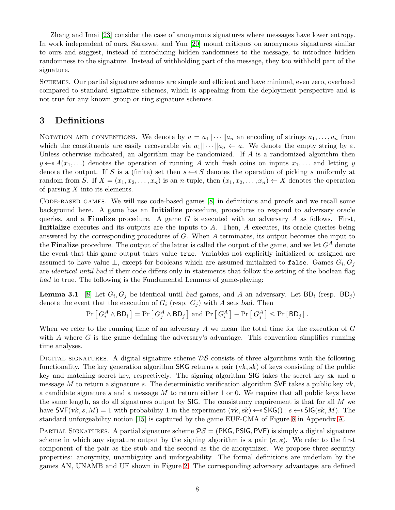<span id="page-7-1"></span>Zhang and Imai [\[23\]](#page-14-14) consider the case of anonymous signatures where messages have lower entropy. In work independent of ours, Saraswat and Yun [\[20\]](#page-14-15) mount critiques on anonymous signatures similar to ours and suggest, instead of introducing hidden randomness to the message, to introduce hidden randomness to the signature. Instead of withholding part of the message, they too withhold part of the signature.

Schemes. Our partial signature schemes are simple and efficient and have minimal, even zero, overhead compared to standard signature schemes, which is appealing from the deployment perspective and is not true for any known group or ring signature schemes.

# <span id="page-7-0"></span>3 Definitions

NOTATION AND CONVENTIONS. We denote by  $a = a_1 || \cdots || a_n$  an encoding of strings  $a_1, \ldots, a_n$  from which the constituents are easily recoverable via  $a_1\|\cdots\|a_n \leftarrow a$ . We denote the empty string by  $\varepsilon$ . Unless otherwise indicated, an algorithm may be randomized. If  $A$  is a randomized algorithm then  $y \leftarrow s A(x_1, \ldots)$  denotes the operation of running A with fresh coins on inputs  $x_1, \ldots$  and letting y denote the output. If S is a (finite) set then  $s \leftarrow s S$  denotes the operation of picking s uniformly at random from S. If  $X = (x_1, x_2, \ldots, x_n)$  is an *n*-tuple, then  $(x_1, x_2, \ldots, x_n) \leftarrow X$  denotes the operation of parsing  $X$  into its elements.

Code-based games. We will use code-based games [\[8\]](#page-14-16) in definitions and proofs and we recall some background here. A game has an Initialize procedure, procedures to respond to adversary oracle queries, and a **Finalize** procedure. A game G is executed with an adversary A as follows. First, Initialize executes and its outputs are the inputs to A. Then, A executes, its oracle queries being answered by the corresponding procedures of G. When A terminates, its output becomes the input to the **Finalize** procedure. The output of the latter is called the output of the game, and we let  $G<sup>A</sup>$  denote the event that this game output takes value true. Variables not explicitly initialized or assigned are assumed to have value  $\perp$ , except for booleans which are assumed initialized to false. Games  $G_i, G_j$ are *identical until bad* if their code differs only in statements that follow the setting of the boolean flag bad to true. The following is the Fundamental Lemmas of game-playing:

**Lemma 3.1** [\[8\]](#page-14-16) Let  $G_i$ ,  $G_j$  be identical until bad games, and A an adversary. Let  $BD_i$  (resp.  $BD_j$ ) denote the event that the execution of  $G_i$  (resp.  $G_j$ ) with A sets bad. Then

<span id="page-7-2"></span>
$$
\Pr\left[G_i^A \wedge \mathsf{BD}_i\right] = \Pr\left[G_j^A \wedge \mathsf{BD}_j\right] \text{ and } \Pr\left[G_i^A\right] - \Pr\left[G_j^A\right] \le \Pr\left[\mathsf{BD}_j\right].
$$

When we refer to the running time of an adversary  $A$  we mean the total time for the execution of  $G$ with  $\tilde{A}$  where  $\tilde{G}$  is the game defining the adversary's advantage. This convention simplifies running time analyses.

DIGITAL SIGNATURES. A digital signature scheme  $DS$  consists of three algorithms with the following functionality. The key generation algorithm SKG returns a pair  $(vk, sk)$  of keys consisting of the public key and matching secret key, respectively. The signing algorithm SIG takes the secret key sk and a message M to return a signature s. The deterministic verification algorithm SVF takes a public key  $vk$ , a candidate signature  $s$  and a message  $M$  to return either 1 or 0. We require that all public keys have the same length, as do all signatures output by SIG. The consistency requirement is that for all M we have  $\mathsf{SVF}(vk, s, M) = 1$  with probability 1 in the experiment  $(vk, sk) \leftarrow \mathsf{sSKG}(s; s \leftarrow \mathsf{sSIG}(sk, M)$ . The standard unforgeability notion [\[15\]](#page-14-6) is captured by the game EUF-CMA of Figure [8](#page-15-1) in Appendix [A.](#page-14-0)

PARTIAL SIGNATURES. A partial signature scheme  $PS = (PKG, PSIG, PVF)$  is simply a digital signature scheme in which any signature output by the signing algorithm is a pair  $(\sigma, \kappa)$ . We refer to the first component of the pair as the stub and the second as the de-anonymizer. We propose three security properties: anonymity, unambiguity and unforgeability. The formal definitions are underlain by the games AN, UNAMB and UF shown in Figure [2.](#page-8-1) The corresponding adversary advantages are defined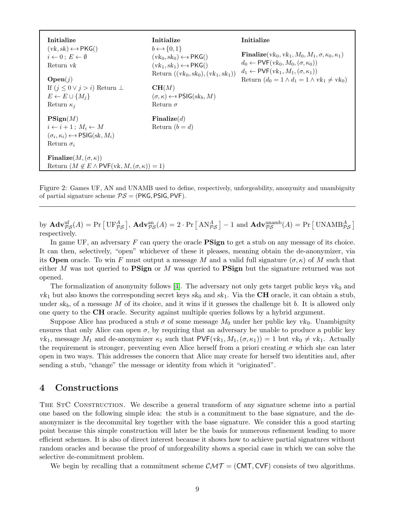<span id="page-8-2"></span>

| Initialize<br>$(vk, sk) \leftarrow s PKG()$<br>$i \leftarrow 0: E \leftarrow \emptyset$<br>Return <i>vk</i><br>Open(j)<br>If $(j \leq 0 \vee j > i)$ Return $\perp$<br>$E \leftarrow E \cup \{M_i\}$<br>Return $\kappa_i$ | Initialize<br>$b \leftarrow \{0,1\}$<br>$(vk_0, sk_0) \leftarrow \{ \text{PKG}(\text{)}\}$<br>$(vk_1, sk_1) \leftarrow s PKG()$<br>Return $((vk_0, sk_0), (vk_1, sk_1))$<br>CH(M)<br>$(\sigma, \kappa) \leftarrow \{SIG}(sk_b, M)$<br>Return $\sigma$ | Initialize<br><b>Finalize</b> $(vk_0, vk_1, M_0, M_1, \sigma, \kappa_0, \kappa_1)$<br>$d_0 \leftarrow \textsf{PVF}(vk_0, M_0, (\sigma, \kappa_0))$<br>$d_1 \leftarrow \textsf{PVF}(vk_1, M_1, (\sigma, \kappa_1))$<br>Return $(d_0 = 1 \wedge d_1 = 1 \wedge vk_1 \neq vk_0)$ |  |
|---------------------------------------------------------------------------------------------------------------------------------------------------------------------------------------------------------------------------|-------------------------------------------------------------------------------------------------------------------------------------------------------------------------------------------------------------------------------------------------------|-------------------------------------------------------------------------------------------------------------------------------------------------------------------------------------------------------------------------------------------------------------------------------|--|
| $\operatorname{PSign}(M)$<br>$i \leftarrow i+1 : M_i \leftarrow M$<br>$(\sigma_i, \kappa_i) \leftarrow \text{s}$ PSIG(sk, $M_i$ )<br>Return $\sigma_i$                                                                    | $\mathbf{Finalize}(d)$<br>Return $(b = d)$                                                                                                                                                                                                            |                                                                                                                                                                                                                                                                               |  |
| Finalize $(M, (\sigma, \kappa))$<br>Return $(M \notin E \wedge PVF(vk, M, (\sigma, \kappa)) = 1)$                                                                                                                         |                                                                                                                                                                                                                                                       |                                                                                                                                                                                                                                                                               |  |

<span id="page-8-1"></span>Figure 2: Games UF, AN and UNAMB used to define, respectively, unforgeability, anonymity and unambiguity of partial signature scheme  $PS = (PKG, PSIG, PVF)$ .

by  $\mathbf{Adv}_{\mathcal{PS}}^{\text{uf}}(A) = \Pr \left[ \mathrm{UF}_{\mathcal{PS}}^A \right], \, \mathbf{Adv}_{\mathcal{PS}}^{\text{an}}(A) = 2 \cdot \Pr \left[ \mathrm{AN}_{\mathcal{PS}}^A \right] - 1 \text{ and } \mathbf{Adv}_{\mathcal{PS}}^{\text{unamb}}(A) = \Pr \left[ \mathrm{UNAMB}_{\mathcal{PS}}^A \right]$ respectively.

In game UF, an adversary  $F$  can query the oracle **PSign** to get a stub on any message of its choice. It can then, selectively, "open" whichever of these it pleases, meaning obtain the de-anonymizer, via its **Open** oracle. To win F must output a message M and a valid full signature  $(\sigma, \kappa)$  of M such that either M was not queried to  $\mathbf{PSign}$  or M was queried to  $\mathbf{PSign}$  but the signature returned was not opened.

The formalization of anonymity follows [\[4\]](#page-13-2). The adversary not only gets target public keys  $vk_0$  and  $vk_1$  but also knows the corresponding secret keys  $sk_0$  and  $sk_1$ . Via the **CH** oracle, it can obtain a stub, under  $sk_b$ , of a message M of its choice, and it wins if it guesses the challenge bit b. It is allowed only one query to the CH oracle. Security against multiple queries follows by a hybrid argument.

Suppose Alice has produced a stub  $\sigma$  of some message  $M_0$  under her public key vk<sub>0</sub>. Unambiguity ensures that only Alice can open  $\sigma$ , by requiring that an adversary be unable to produce a public key vk<sub>1</sub>, message  $M_1$  and de-anonymizer  $\kappa_1$  such that  $PVF(vk_1, M_1, (\sigma, \kappa_1)) = 1$  but  $vk_0 \neq vk_1$ . Actually the requirement is stronger, preventing even Alice herself from a priori creating  $\sigma$  which she can later open in two ways. This addresses the concern that Alice may create for herself two identities and, after sending a stub, "change" the message or identity from which it "originated".

### <span id="page-8-0"></span>4 Constructions

THE STC CONSTRUCTION. We describe a general transform of any signature scheme into a partial one based on the following simple idea: the stub is a commitment to the base signature, and the deanonymizer is the decommital key together with the base signature. We consider this a good starting point because this simple construction will later be the basis for numerous refinement leading to more efficient schemes. It is also of direct interest because it shows how to achieve partial signatures without random oracles and because the proof of unforgeability shows a special case in which we can solve the selective de-commitment problem.

We begin by recalling that a commitment scheme  $\mathcal{CMT} = (CMT, CVF)$  consists of two algorithms.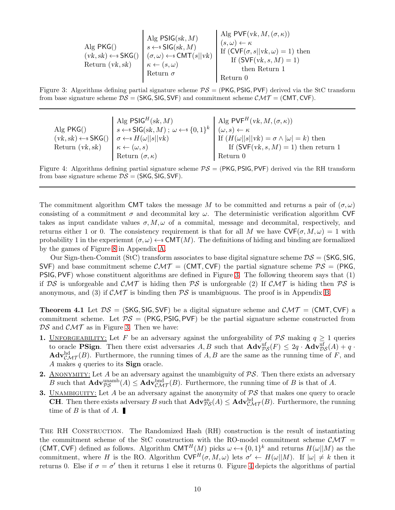$$
\begin{array}{c|c|c|c} \text{Alg PKG()} & \text{Alg PSIG}(sk, M) & \text{Alg PVF}(vk, M, (\sigma, \kappa)) \\ & s \leftarrow s \text{ SIG}(sk, M) & (s, \omega) \leftarrow \kappa \\ & (vk, sk) \leftarrow s \text{ SKG()} & (\sigma, \omega) \leftarrow s \text{ CMT}(s||vk) & \text{If } (\text{CVF}(\sigma, s||vk, \omega) = 1) \text{ then} \\ \text{Return } (vk, sk) & \kappa \leftarrow (s, \omega) & \text{Return } \text{If } (\text{SVF}(vk, s, M) = 1) \\ & \text{then Return } 1 & \text{return } 0 \end{array}
$$

Figure 3: Algorithms defining partial signature scheme  $PS = (PKG, PSIG, PVF)$  derived via the StC transform from base signature scheme  $DS = (SKG, SIG, SVF)$  and commitment scheme  $\mathcal{CMT} = (CMT, CVF)$ .

<span id="page-9-1"></span>Alg PKG()  $(vk, sk) \leftarrow *$  SKG() Return (vk,sk) Alg PSIG $^H(sk, M)$  $s \leftarrow s \mathsf{SIG}(sk, M); \ \omega \leftarrow s \{0, 1\}^k$  $\sigma \leftarrow$   $H(\omega||s||vk)$  $\kappa \leftarrow (\omega, s)$ Return  $(\sigma, \kappa)$ Alg PVF<sup>H</sup>(vk,  $M, (\sigma, \kappa)$ )  $(\omega, s) \leftarrow \kappa$ If  $(H(\omega||s||vk) = \sigma \wedge |\omega| = k)$  then If  $(SVF(vk, s, M) = 1)$  then return 1 Return 0

<span id="page-9-2"></span>Figure 4: Algorithms defining partial signature scheme  $PS = (PKG, PSIG, PVF)$  derived via the RH transform from base signature scheme  $DS = (SKG, SIG, SVF)$ .

The commitment algorithm CMT takes the message M to be committed and returns a pair of  $(\sigma,\omega)$ consisting of a commitment  $\sigma$  and decommital key  $\omega$ . The deterministic verification algorithm CVF takes as input candidate values  $\sigma, M, \omega$  of a commital, message and decommital, respectively, and returns either 1 or 0. The consistency requirement is that for all M we have  $\mathsf{CVF}(\sigma, M, \omega) = 1$  with probability 1 in the experiemnt  $(\sigma, \omega) \leftarrow s \text{CMT}(M)$ . The definitions of hiding and binding are formalized by the games of Figure [8](#page-15-1) in Appendix [A.](#page-14-0)

Our Sign-then-Commit (StC) transform associates to base digital signature scheme  $DS = (SKG, SIG,$ SVF) and base commitment scheme  $\mathcal{CMT} = (\mathsf{CMT}, \mathsf{CVF})$  the partial signature scheme  $\mathcal{PS} = (\mathsf{PKG}, \mathsf{CVF})$ PSIG, PVF) whose constituent algorithms are defined in Figure [3.](#page-9-1) The following theorem says that (1) if DS is unforgeable and CMT is hiding then PS is unforgeable (2) If  $\mathcal{CMT}$  is hiding then PS is anonymous, and (3) if  $\mathcal{CMT}$  is binding then  $\mathcal{PS}$  is unambiguous. The proof is in Appendix [B.](#page-15-0)

<span id="page-9-0"></span>**Theorem 4.1** Let  $DS = (SKG, SIG, SVF)$  be a digital signature scheme and  $CMT = (CMT, CVF)$  a commitment scheme. Let  $PS = (PKG, PSUF)$  be the partial signature scheme constructed from  $DS$  and  $CMT$  as in Figure [3.](#page-9-1) Then we have:

- 1. UNFORGEABILITY: Let F be an adversary against the unforgeability of  $\mathcal{PS}$  making  $q \geq 1$  queries to oracle **PSign**. Then there exist adversaries  $A, B$  such that  $\mathbf{Adv}_{\mathcal{PS}}^{\text{uf}}(F) \leq 2q \cdot \mathbf{Adv}_{\mathcal{DS}}^{\text{uf}}(A) + q \cdot$  $\mathbf{Adv}_{\mathcal{CMT}}^{\text{hd}}(B)$ . Furthermore, the running times of  $A, B$  are the same as the running time of F, and A makes q queries to its **Sign** oracle.
- **2.** ANONYMITY: Let A be an adversary against the unambiguity of  $PS$ . Then there exists an adversary B such that  $\mathbf{Adv}_{\mathcal{PS}}^{\text{unamb}}(A) \leq \mathbf{Adv}_{\mathcal{CMT}}^{\text{bnd}}(B)$ . Furthermore, the running time of B is that of A.
- 3. UNAMBIGUITY: Let A be an adversary against the anonymity of  $PS$  that makes one query to oracle **CH**. Then there exists adversary B such that  $\mathbf{Adv}_{\mathcal{PS}}^{\text{an}}(A) \leq \mathbf{Adv}_{\mathcal{CMT}}^{\text{hd}}(B)$ . Furthermore, the running time of  $B$  is that of  $A$ .

The RH Construction. The Randomized Hash (RH) construction is the result of instantiating the commitment scheme of the StC construction with the RO-model commitment scheme  $\mathcal{CMT} =$ (CMT, CVF) defined as follows. Algorithm CMT<sup>H</sup>(M) picks  $\omega \leftarrow s \{0,1\}^k$  and returns  $H(\omega||M)$  as the commitment, where H is the RO. Algorithm  $\mathsf{CVF}^H(\sigma, M, \omega)$  lets  $\sigma' \leftarrow H(\omega||M)$ . If  $|\omega| \neq k$  then it returns 0. Else if  $\sigma = \sigma'$  then it returns 1 else it returns 0. Figure [4](#page-9-2) depicts the algorithms of partial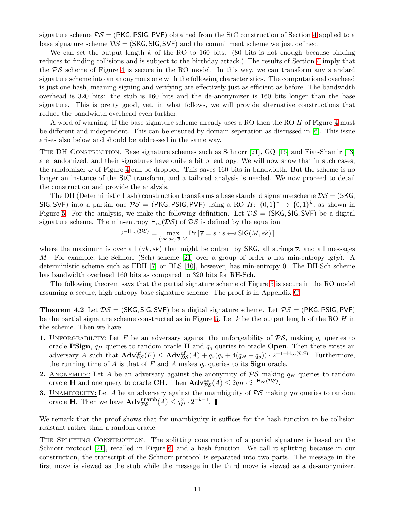<span id="page-10-1"></span>signature scheme  $PS = (PKG, PSIG, PVF)$  obtained from the StC construction of Section [4](#page-8-0) applied to a base signature scheme  $DS = (SKG, SIG, SVF)$  and the commitment scheme we just defined.

We can set the output length k of the RO to 160 bits. (80 bits is not enough because binding reduces to finding collisions and is subject to the birthday attack.) The results of Section [4](#page-8-0) imply that the  $PS$  scheme of Figure [4](#page-9-2) is secure in the RO model. In this way, we can transform any standard signature scheme into an anonymous one with the following characteristics. The computational overhead is just one hash, meaning signing and verifying are effectively just as efficient as before. The bandwidth overhead is 320 bits: the stub is 160 bits and the de-anonymizer is 160 bits longer than the base signature. This is pretty good, yet, in what follows, we will provide alternative constructions that reduce the bandwidth overhead even further.

A word of warning. If the base signature scheme already uses a RO then the RO H of Figure [4](#page-9-2) must be different and independent. This can be ensured by domain seperation as discussed in [\[6\]](#page-14-17). This issue arises also below and should be addressed in the same way.

THE DH CONSTRUCTION. Base signature schemes such as Schnorr [\[21\]](#page-14-8), GQ [\[16\]](#page-14-10) and Fiat-Shamir [\[13\]](#page-14-11) are randomized, and their signatures have quite a bit of entropy. We will now show that in such cases, the randomizer  $\omega$  of Figure [4](#page-9-2) can be dropped. This saves 160 bits in bandwidth. But the scheme is no longer an instance of the StC transform, and a tailored analysis is needed. We now proceed to detail the construction and provide the analysis.

The DH (Deterministic Hash) construction transforms a base standard signature scheme  $DS = (SKG,$ SIG, SVF) into a partial one  $\mathcal{PS} = (\mathsf{PKG}, \mathsf{PSIG}, \mathsf{PVF})$  using a RO  $H: \{0,1\}^* \to \{0,1\}^k$ , as shown in Figure [5.](#page-11-1) For the analysis, we make the following definition. Let  $DS = (SKG, SIG, SVF)$  be a digital signature scheme. The min-entropy  $H_{\infty}(\mathcal{DS})$  of  $\mathcal{DS}$  is defined by the equation

$$
2^{-H_{\infty}(\mathcal{DS})} = \max_{(\text{vk}, \text{sk}), \overline{s}, M} \Pr\left[\overline{s} = s : s \leftarrow s \text{SIG}(M, sk)\right]
$$

where the maximum is over all (vk, sk) that might be output by SKG, all strings  $\overline{s}$ , and all messages M. For example, the Schnorr (Sch) scheme [\[21\]](#page-14-8) over a group of order p has min-entropy  $\lg(p)$ . A deterministic scheme such as FDH [\[7\]](#page-14-18) or BLS [\[10\]](#page-14-9), however, has min-entropy 0. The DH-Sch scheme has bandwidth overhead 160 bits as compared to 320 bits for RH-Sch.

<span id="page-10-0"></span>The following theorem says that the partial signature scheme of Figure [5](#page-11-1) is secure in the RO model assuming a secure, high entropy base signature scheme. The proof is in Appendix [C.](#page-17-0)

**Theorem 4.2** Let  $DS = (SKG, SIG, SVF)$  be a digital signature scheme. Let  $PS = (PKG, PSIG, PVF)$ be the partial signature scheme constructed as in Figure [5.](#page-11-1) Let  $k$  be the output length of the RO  $H$  in the scheme. Then we have:

- 1. UNFORGEABILITY: Let F be an adversary against the unforgeability of  $PS$ , making  $q_s$  queries to oracle **PSign**,  $q_H$  queries to random oracle **H** and  $q_o$  queries to oracle **Open**. Then there exists an adversary A such that  $\mathbf{Adv}_{\mathcal{PS}}^{\text{uf}}(F) \leq \mathbf{Adv}_{\mathcal{DS}}^{\text{uf}}(A) + q_s(q_s + 4(q_H + q_o)) \cdot 2^{-1-\mathsf{H}_{\infty}(\mathcal{DS})}$ . Furthermore, the running time of A is that of F and A makes  $q_o$  queries to its **Sign** oracle.
- **2.** ANONYMITY: Let A be an adversary against the anonymity of  $\mathcal{PS}$  making  $q_H$  queries to random oracle **H** and one query to oracle **CH**. Then  $\mathbf{Adv}_{\mathcal{PS}}^{\text{an}}(A) \leq 2q_H \cdot 2^{-\mathsf{H}_{\infty}(\mathcal{DS})}$ .
- **3.** UNAMBIGUITY: Let A be an adversary against the unambiguity of  $\mathcal{PS}$  making  $q_H$  queries to random oracle **H**. Then we have  $\mathbf{Adv}_{\mathcal{PS}}^{\text{unamb}}(A) \leq q_H^2 \cdot 2^{-k-1}$ .

We remark that the proof shows that for unambiguity it suffices for the hash function to be collision resistant rather than a random oracle.

THE SPLITTING CONSTRUCTION. The splitting construction of a partial signature is based on the Schnorr protocol [\[21\]](#page-14-8), recalled in Figure [6,](#page-11-2) and a hash function. We call it splitting because in our construction, the transcript of the Schnorr protocol is separated into two parts. The message in the first move is viewed as the stub while the message in the third move is viewed as a de-anonymizer.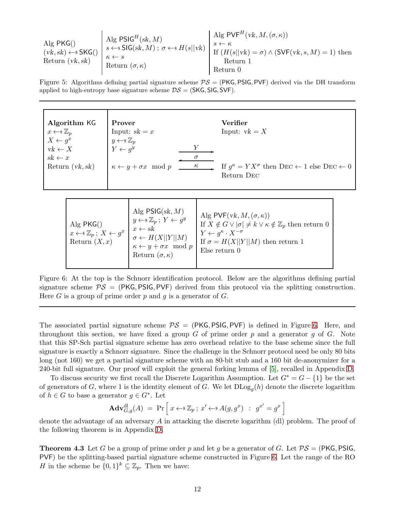<span id="page-11-3"></span>
$$
\underset{\text{Return (vk, sk)}}{\text{Alg PKG()}} \xrightarrow{\text{RIGPSIG}^H(sk, M)} \underset{\text{Return (vk, sk)}}{\text{Alg PSIG}^H(sk, M); \sigma \leftarrow s \text{ H}(s||vk)} \xrightarrow{\text{Alg PVF}^H(vk, M, (\sigma, \kappa))} \underset{\text{If (H(s||vk) = \sigma) ∧ (SVF(vk, s, M) = 1) then }}{\text{H}(H(s||vk) = \sigma) ∧ (SVF(vk, s, M) = 1) then}
$$

<span id="page-11-1"></span>Figure 5: Algorithms defining partial signature scheme  $PS = (PKG, PSIG, PVF)$  derived via the DH transform applied to high-entropy base signature scheme  $DS = (SKG, SIG, SVF)$ .

| Prover                                  |                                           | Verifier                                                                       |
|-----------------------------------------|-------------------------------------------|--------------------------------------------------------------------------------|
| Input: $sk = x$                         |                                           | Input: $vk = X$                                                                |
|                                         |                                           |                                                                                |
| $Y \leftarrow q^y$                      |                                           |                                                                                |
|                                         | $\sigma$                                  |                                                                                |
| $\kappa \leftarrow y + \sigma x \mod p$ | $\kappa$                                  | If $q^{\kappa} = Y X^{\sigma}$ then DEC $\leftarrow 1$ else DEC $\leftarrow 0$ |
|                                         |                                           | Return DEC                                                                     |
|                                         |                                           |                                                                                |
|                                         | $y \leftarrow \mathbb{s} \; \mathbb{Z}_p$ |                                                                                |

| Alg $PKG()$<br>$x \leftarrow \mathscr{Z}_p; X \leftarrow g^x$<br>Return $(X, x)$ | Alg $PSIG(sk, M)$<br>$\begin{array}{c} \n\begin{array}{c}\n y \leftarrow & \mathbb{Z}_p \\  x \leftarrow & \mathbb{Z} \\  \end{array} \\  \n\end{array}$<br>$\sigma \leftarrow H(X  Y  M)$<br>$\kappa \leftarrow y + \sigma x \mod p$<br>Return $(\sigma, \kappa)$ | Alg PVF $(vk, M, (\sigma, \kappa))$<br>If $X \notin G \vee  \sigma  \neq k \vee \kappa \notin \mathbb{Z}_p$ then return 0<br>$Y \leftarrow q^{\kappa} \cdot X^{-\sigma}$<br>If $\sigma = H(X  Y  M)$ then return 1<br>Else return $0$ |
|----------------------------------------------------------------------------------|--------------------------------------------------------------------------------------------------------------------------------------------------------------------------------------------------------------------------------------------------------------------|---------------------------------------------------------------------------------------------------------------------------------------------------------------------------------------------------------------------------------------|
|----------------------------------------------------------------------------------|--------------------------------------------------------------------------------------------------------------------------------------------------------------------------------------------------------------------------------------------------------------------|---------------------------------------------------------------------------------------------------------------------------------------------------------------------------------------------------------------------------------------|

<span id="page-11-2"></span>Figure 6: At the top is the Schnorr identification protocol. Below are the algorithms defining partial signature scheme  $PS = (PKG, PSIG, PVF)$  derived from this protocol via the splitting construction. Here G is a group of prime order p and q is a generator of  $G$ .

The associated partial signature scheme  $PS = (PKG, PSIG, PVF)$  is defined in Figure [6.](#page-11-2) Here, and throughout this section, we have fixed a group  $G$  of prime order  $p$  and a generator  $q$  of  $G$ . Note that this SP-Sch partial signature scheme has zero overhead relative to the base scheme since the full signature is exactly a Schnorr signature. Since the challenge in the Schnorr protocol need be only 80 bits long (not 160) we get a partial signature scheme with an 80-bit stub and a 160 bit de-anonymizer for a 240-bit full signature. Our proof will exploit the general forking lemma of [\[5\]](#page-13-6), recalled in Appendix [D.](#page-19-0)

To discuss security we first recall the Discrete Logarithm Assumption. Let  $G^* = G - \{1\}$  be the set of generators of G, where 1 is the identity element of G. We let  $\text{DLog}_g(h)$  denote the discrete logarithm of  $h \in G$  to base a generator  $g \in G^*$ . Let

$$
\mathbf{Adv}_{G,g}^{\mathrm{dl}}(A) = \Pr\left[x \leftarrow^* \mathbb{Z}_p \, ; \, x' \leftarrow^* A(g, g^x) \; : \; g^{x'} = g^x\right)
$$

i

<span id="page-11-0"></span>denote the advantage of an adversary A in attacking the discrete logarithm (dl) problem. The proof of the following theorem is in Appendix [D.](#page-19-0)

**Theorem 4.3** Let G be a group of prime order p and let g be a generator of G. Let  $PS = (PKG, PSIG,$ PVF) be the splitting-based partial signature scheme constructed in Figure [6.](#page-11-2) Let the range of the RO H in the scheme be  $\{0,1\}^k \subseteq \mathbb{Z}_p$ . Then we have: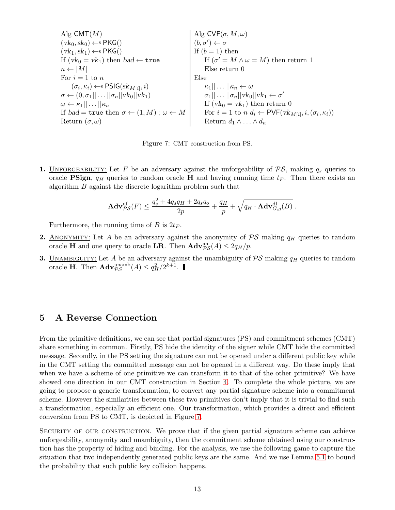| Alg CMT(M)                                                              | Alg CVF( $\sigma, M, \omega$ )                                            |
|-------------------------------------------------------------------------|---------------------------------------------------------------------------|
| $(vk_0, sk_0) \leftarrow s PKG()$                                       | $(b, \sigma') \leftarrow \sigma$                                          |
| $(vk_1, sk_1) \leftarrow s PKG()$                                       | If $(b = 1)$ then                                                         |
| If $(vk_0 = vk_1)$ then $bad \leftarrow true$                           | If $(\sigma' = M \land \omega = M)$ then return 1                         |
| For $i = 1$ to $n$                                                      | Else return 0                                                             |
| $(\sigma_i, \kappa_i) \leftarrow s PSIG(sk_{M[i]}, i)$                  | Else return 0                                                             |
| $\omega \leftarrow \kappa_1    \dots   \kappa_n$                        | $\kappa_1    \dots   \kappa_n \leftarrow \omega$                          |
| $\omega \leftarrow \kappa_1    \dots   \kappa_n$                        | $\sigma_1    \dots   \sigma_n    vk_0    vk_1 \leftarrow \sigma'$         |
| If $bad = true$ then $\sigma \leftarrow (1, M)$ ; $\omega \leftarrow M$ | For $i = 1$ to $n d_i \leftarrow PVF(vk_{M[i]}, i, (\sigma_i, \kappa_i))$ |
| Returns $(\sigma, \omega)$                                              | Returns $d_1 \land \dots \land d_n$                                       |

<span id="page-12-1"></span>Figure 7: CMT construction from PS.

1. UNFORGEABILITY: Let F be an adversary against the unforgeability of  $PS$ , making  $q_s$  queries to oracle **PSign**,  $q_H$  queries to random oracle **H** and having running time  $t_F$ . Then there exists an algorithm  $B$  against the discrete logarithm problem such that

$$
\mathbf{Adv}_{\mathcal{PS}}^{\text{uf}}(F) \leq \frac{q_s^2 + 4q_s q_H + 2q_s q_o}{2p} + \frac{q_H}{p} + \sqrt{q_H \cdot \mathbf{Adv}_{G,g}^{\text{dl}}(B)}.
$$

Furthermore, the running time of B is  $2t_F$ .

- **2.** ANONYMITY: Let A be an adversary against the anonymity of  $\mathcal{PS}$  making  $q_H$  queries to random oracle **H** and one query to oracle **LR**. Then  $\mathbf{Adv}_{\mathcal{PS}}^{\text{an}}(A) \leq 2q_H/p$ .
- **3.** UNAMBIGUITY: Let A be an adversary against the unambiguity of  $\mathcal{PS}$  making  $q_H$  queries to random oracle **H**. Then  $\mathbf{Adv}_{\mathcal{PS}}^{\text{unamb}}(A) \leq q_H^2/2^{k+1}$ .

# <span id="page-12-0"></span>5 A Reverse Connection

From the primitive definitions, we can see that partial signatures (PS) and commitment schemes (CMT) share something in common. Firstly, PS hide the identity of the signer while CMT hide the committed message. Secondly, in the PS setting the signature can not be opened under a different public key while in the CMT setting the committed message can not be opened in a different way. Do these imply that when we have a scheme of one primitive we can transform it to that of the other primitive? We have showed one direction in our CMT construction in Section [4.](#page-8-0) To complete the whole picture, we are going to propose a generic transformation, to convert any partial signature scheme into a commitment scheme. However the similarities between these two primitives don't imply that it is trivial to find such a transformation, especially an efficient one. Our transformation, which provides a direct and efficient conversion from PS to CMT, is depicted in Figure [7.](#page-12-1)

SECURITY OF OUR CONSTRUCTION. We prove that if the given partial signature scheme can achieve unforgeability, anonymity and unambiguity, then the commitment scheme obtained using our construction has the property of hiding and binding. For the analysis, we use the following game to capture the situation that two independently generated public keys are the same. And we use Lemma [5.1](#page-13-7) to bound the probability that such public key collision happens.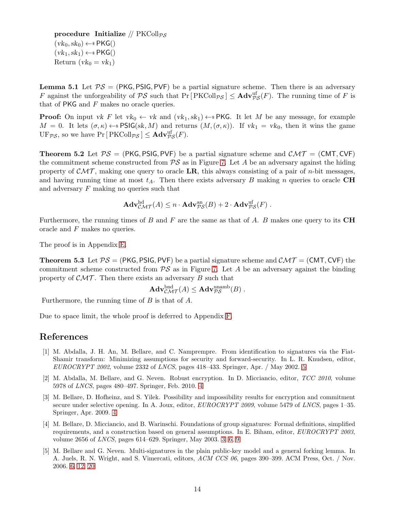procedure Initialize //  $PKColl_{\mathcal{PS}}$  $(vk_0, sk_0) \leftarrow s$  PKG()  $(vk_1, sk_1) \leftarrow s$  PKG() Return  $(vk_0 = vk_1)$ 

<span id="page-13-7"></span>**Lemma 5.1** Let  $PS = (PKG, PSUF)$  be a partial signature scheme. Then there is an adversary F against the unforgeability of  $\mathcal{PS}$  such that  $Pr[RCOII_{\mathcal{PS}}] \leq \mathbf{Adv}_{\mathcal{PS}}^{\text{uf}}(F)$ . The running time of F is that of PKG and F makes no oracle queries.

**Proof:** On input vk F let  $vk_0 \leftarrow vk$  and  $(vk_1, sk_1) \leftarrow$  PKG. It let M be any message, for example  $M = 0$ . It lets  $(\sigma, \kappa) \leftarrow s$  PSIG(sk, M) and returns  $(M, (\sigma, \kappa))$ . If  $vk_1 = vk_0$ , then it wins the game  $\mathrm{UF}_{\mathcal{PS}}$ , so we have  $\Pr[\mathrm{PKColl}_{\mathcal{PS}}] \leq \mathbf{Adv}_{\mathcal{PS}}^{\mathrm{uf}}(F)$ .

<span id="page-13-0"></span>**Theorem 5.2** Let  $PS = (PKG, PSIG, PVF)$  be a partial signature scheme and  $CMT = (CMT, CVF)$ the commitment scheme constructed from  $PS$  as in Figure [7.](#page-12-1) Let A be an adversary against the hiding property of  $\mathcal{CMT}$ , making one query to oracle LR, this always consisting of a pair of *n*-bit messages, and having running time at most  $t_A$ . Then there exists adversary B making n queries to oracle CH and adversary F making no queries such that

$$
\mathbf{Adv}_{\mathcal{CMT}}^{\mathrm{hd}}(A) \leq n \cdot \mathbf{Adv}_{\mathcal{PS}}^{\mathrm{an}}(B) + 2 \cdot \mathbf{Adv}_{\mathcal{PS}}^{\mathrm{uf}}(F) .
$$

Furthermore, the running times of B and F are the same as that of A. B makes one query to its  $CH$ oracle and F makes no queries.

<span id="page-13-1"></span>The proof is in Appendix [E.](#page-23-0)

**Theorem 5.3** Let  $PS = (PKG, PSIG, PVF)$  be a partial signature scheme and  $\mathcal{CMT} = (CMT, CVF)$  the commitment scheme constructed from  $PS$  as in Figure [7.](#page-12-1) Let A be an adversary against the binding property of  $\mathcal{CMT}$ . Then there exists an adversary B such that

$$
\mathbf{Adv}_{\mathcal{CMT}}^{\text{bnd}}(A) \leq \mathbf{Adv}_{\mathcal{PS}}^{\text{unamb}}(B) .
$$

Furthermore, the running time of  $B$  is that of  $A$ .

Due to space limit, the whole proof is deferred to Appendix [F.](#page-25-0)

#### <span id="page-13-5"></span>References

- [1] M. Abdalla, J. H. An, M. Bellare, and C. Namprempre. From identification to signatures via the Fiat-Shamir transform: Minimizing assumptions for security and forward-security. In L. R. Knudsen, editor, EUROCRYPT 2002, volume 2332 of LNCS, pages 418–433. Springer, Apr. / May 2002. [5](#page-4-1)
- <span id="page-13-3"></span>[2] M. Abdalla, M. Bellare, and G. Neven. Robust encryption. In D. Micciancio, editor, TCC 2010, volume 5978 of LNCS, pages 480–497. Springer, Feb. 2010. [4](#page-3-0)
- <span id="page-13-4"></span>[3] M. Bellare, D. Hofheinz, and S. Yilek. Possibility and impossibility results for encryption and commitment secure under selective opening. In A. Joux, editor, *EUROCRYPT 2009*, volume 5479 of *LNCS*, pages 1–35. Springer, Apr. 2009. [4](#page-3-0)
- <span id="page-13-2"></span>[4] M. Bellare, D. Micciancio, and B. Warinschi. Foundations of group signatures: Formal definitions, simplified requirements, and a construction based on general assumptions. In E. Biham, editor, EUROCRYPT 2003, volume 2656 of LNCS, pages 614–629. Springer, May 2003. [3,](#page-2-1) [6,](#page-5-1) [9](#page-8-2)
- <span id="page-13-6"></span>[5] M. Bellare and G. Neven. Multi-signatures in the plain public-key model and a general forking lemma. In A. Juels, R. N. Wright, and S. Vimercati, editors, ACM CCS 06, pages 390–399. ACM Press, Oct. / Nov. 2006. [6,](#page-5-1) [12,](#page-11-3) [20](#page-19-1)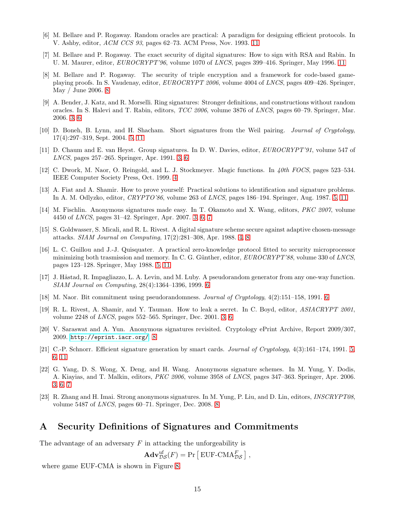- <span id="page-14-18"></span><span id="page-14-17"></span>[6] M. Bellare and P. Rogaway. Random oracles are practical: A paradigm for designing efficient protocols. In V. Ashby, editor, ACM CCS 93, pages 62–73. ACM Press, Nov. 1993. [11](#page-10-1)
- <span id="page-14-16"></span>[7] M. Bellare and P. Rogaway. The exact security of digital signatures: How to sign with RSA and Rabin. In U. M. Maurer, editor, *EUROCRYPT'96*, volume 1070 of *LNCS*, pages 399–416. Springer, May 1996. [11](#page-10-1)
- [8] M. Bellare and P. Rogaway. The security of triple encryption and a framework for code-based gameplaying proofs. In S. Vaudenay, editor, EUROCRYPT 2006, volume 4004 of LNCS, pages 409–426. Springer, May / June 2006. [8](#page-7-1)
- <span id="page-14-3"></span>[9] A. Bender, J. Katz, and R. Morselli. Ring signatures: Stronger definitions, and constructions without random oracles. In S. Halevi and T. Rabin, editors, TCC 2006, volume 3876 of LNCS, pages 60–79. Springer, Mar. 2006. [3,](#page-2-1) [6](#page-5-1)
- <span id="page-14-9"></span><span id="page-14-1"></span>[10] D. Boneh, B. Lynn, and H. Shacham. Short signatures from the Weil pairing. Journal of Cryptology, 17(4):297–319, Sept. 2004. [5,](#page-4-1) [11](#page-10-1)
- <span id="page-14-7"></span>[11] D. Chaum and E. van Heyst. Group signatures. In D. W. Davies, editor, EUROCRYPT'91, volume 547 of LNCS, pages 257–265. Springer, Apr. 1991. [3,](#page-2-1) [6](#page-5-1)
- <span id="page-14-11"></span>[12] C. Dwork, M. Naor, O. Reingold, and L. J. Stockmeyer. Magic functions. In 40th FOCS, pages 523–534. IEEE Computer Society Press, Oct. 1999. [4](#page-3-0)
- [13] A. Fiat and A. Shamir. How to prove yourself: Practical solutions to identification and signature problems. In A. M. Odlyzko, editor, CRYPTO'86, volume 263 of LNCS, pages 186–194. Springer, Aug. 1987. [5,](#page-4-1) [11](#page-10-1)
- <span id="page-14-5"></span>[14] M. Fischlin. Anonymous signatures made easy. In T. Okamoto and X. Wang, editors, PKC 2007, volume 4450 of LNCS, pages 31–42. Springer, Apr. 2007. [3,](#page-2-1) [6,](#page-5-1) [7](#page-6-0)
- <span id="page-14-6"></span>[15] S. Goldwasser, S. Micali, and R. L. Rivest. A digital signature scheme secure against adaptive chosen-message attacks. SIAM Journal on Computing, 17(2):281–308, Apr. 1988. [4,](#page-3-0) [8](#page-7-1)
- <span id="page-14-10"></span>[16] L. C. Guillou and J.-J. Quisquater. A practical zero-knowledge protocol fitted to security microprocessor minimizing both trasmission and memory. In C. G. Günther, editor, EUROCRYPT'88, volume 330 of LNCS, pages 123–128. Springer, May 1988. [5,](#page-4-1) [11](#page-10-1)
- <span id="page-14-12"></span>[17] J. Håstad, R. Impagliazzo, L. A. Levin, and M. Luby. A pseudorandom generator from any one-way function. SIAM Journal on Computing, 28(4):1364–1396, 1999. [6](#page-5-1)
- <span id="page-14-13"></span><span id="page-14-2"></span>[18] M. Naor. Bit commitment using pseudorandomness. Journal of Cryptology, 4(2):151–158, 1991. [6](#page-5-1)
- [19] R. L. Rivest, A. Shamir, and Y. Tauman. How to leak a secret. In C. Boyd, editor, ASIACRYPT 2001, volume 2248 of LNCS, pages 552–565. Springer, Dec. 2001. [3,](#page-2-1) [6](#page-5-1)
- <span id="page-14-15"></span>[20] V. Saraswat and A. Yun. Anonymous signatures revisited. Cryptology ePrint Archive, Report 2009/307, 2009. <http://eprint.iacr.org/>. [8](#page-7-1)
- <span id="page-14-8"></span>[21] C.-P. Schnorr. Efficient signature generation by smart cards. Journal of Cryptology, 4(3):161–174, 1991. [5,](#page-4-1) [6,](#page-5-1) [11](#page-10-1)
- <span id="page-14-4"></span>[22] G. Yang, D. S. Wong, X. Deng, and H. Wang. Anonymous signature schemes. In M. Yung, Y. Dodis, A. Kiayias, and T. Malkin, editors, PKC 2006, volume 3958 of LNCS, pages 347–363. Springer, Apr. 2006. [3,](#page-2-1) [6,](#page-5-1) [7](#page-6-0)
- <span id="page-14-14"></span>[23] R. Zhang and H. Imai. Strong anonymous signatures. In M. Yung, P. Liu, and D. Lin, editors, INSCRYPT08, volume 5487 of LNCS, pages 60–71. Springer, Dec. 2008. [8](#page-7-1)

### <span id="page-14-0"></span>A Security Definitions of Signatures and Commitments

The advantage of an adversary  $F$  in attacking the unforgeability is

$$
\mathbf{Adv}_{\mathcal{DS}}^{\mathrm{uf}}(F) = \Pr\left[\mathrm{EUF\text{-}CMA}_{\mathcal{DS}}^F\right],
$$

where game EUF-CMA is shown in Figure [8.](#page-15-1)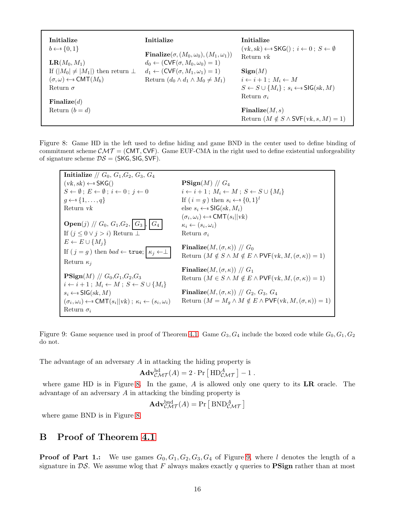| Initialize<br>$b \leftarrow \{0, 1\}$             | Initialize                                                                                                        | Initialize<br>$(vk, sk) \leftarrow$ SKG $(i; i \leftarrow 0; S \leftarrow \emptyset$ |
|---------------------------------------------------|-------------------------------------------------------------------------------------------------------------------|--------------------------------------------------------------------------------------|
| $LR(M_0, M_1)$                                    | Finalize( $\sigma$ , $(M_0, \omega_0)$ , $(M_1, \omega_1)$ )<br>$d_0 \leftarrow (CVF(\sigma, M_0, \omega_0) = 1)$ | Return <i>vk</i>                                                                     |
| If $( M_0  \neq  M_1 )$ then return $\perp$       | $d_1 \leftarrow (CVF(\sigma, M_1, \omega_1) = 1)$                                                                 | $\operatorname{Sign}(M)$                                                             |
| $(\sigma, \omega) \leftarrow \in \text{CMT}(M_b)$ | Return $(d_0 \wedge d_1 \wedge M_0 \neq M_1)$                                                                     | $i \leftarrow i+1$ ; $M_i \leftarrow M$                                              |
| Return $\sigma$                                   |                                                                                                                   | $S \leftarrow S \cup \{M_i\}$ ; $s_i \leftarrow s$ SIG(sk, M)                        |
| $\mathbf{Finalize}(d)$                            |                                                                                                                   | Return $\sigma_i$                                                                    |
| Return $(b = d)$                                  |                                                                                                                   | $\mathbf{Finalize}(M,s)$                                                             |
|                                                   |                                                                                                                   | Return $(M \notin S \wedge SVF(vk, s, M) = 1)$                                       |

Figure 8: Game HD in the left used to define hiding and game BND in the center used to define binding of commitment scheme  $\mathcal{CMT} = (CMT, CVF)$ . Game EUF-CMA in the right used to define existential unforgeability of signature scheme  $DS = (SKG, SIG, SVF)$ .

<span id="page-15-1"></span>

<span id="page-15-2"></span>Figure 9: Game sequence used in proof of Theorem [4.1.](#page-9-0) Game  $G_3, G_4$  include the boxed code while  $G_0, G_1, G_2$ do not.

The advantage of an adversary A in attacking the hiding property is

$$
\mathbf{Adv}_{\mathcal{CMT}}^{\mathrm{hd}}(A) = 2 \cdot \Pr\left[\ \mathbf{HD}_{\mathcal{CMT}}^{A}\ \right] - 1 \ .
$$

where game HD is in Figure [8.](#page-15-1) In the game,  $A$  is allowed only one query to its  $LR$  oracle. The advantage of an adversary A in attacking the binding property is

$$
\mathbf{Adv}_{\mathcal{CMT}}^{\text{bnd}}(A) = \Pr\left[\, \text{BND}_{\mathcal{CMT}}^{A} \,\right]
$$

where game BND is in Figure [8.](#page-15-1)

# <span id="page-15-0"></span>B Proof of Theorem [4.1](#page-9-0)

**Proof of Part 1.:** We use games  $G_0, G_1, G_2, G_3, G_4$  of Figure [9,](#page-15-2) where l denotes the length of a signature in  $\mathcal{DS}$ . We assume wlog that F always makes exactly q queries to **PSign** rather than at most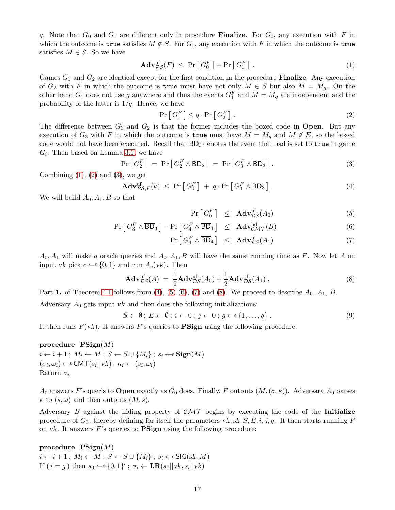q. Note that  $G_0$  and  $G_1$  are different only in procedure **Finalize**. For  $G_0$ , any execution with F in which the outcome is true satisfies  $M \notin S$ . For  $G_1$ , any execution with F in which the outcome is true satisfies  $M \in S$ . So we have

<span id="page-16-0"></span>
$$
\mathbf{Adv}_{\mathcal{PS}}^{\mathrm{uf}}(F) \leq \Pr\left[G_0^F\right] + \Pr\left[G_1^F\right].\tag{1}
$$

Games  $G_1$  and  $G_2$  are identical except for the first condition in the procedure **Finalize**. Any execution of  $G_2$  with F in which the outcome is true must have not only  $M \in S$  but also  $M = M_g$ . On the other hand  $G_1$  does not use g anywhere and thus the events  $G_1^F$  and  $M = M_g$  are independent and the probability of the latter is  $1/q$ . Hence, we have

<span id="page-16-2"></span><span id="page-16-1"></span>
$$
\Pr\left[G_1^F\right] \le q \cdot \Pr\left[G_2^F\right].\tag{2}
$$

The difference between  $G_3$  and  $G_2$  is that the former includes the boxed code in **Open**. But any execution of  $G_3$  with F in which the outcome is true must have  $M = M_q$  and  $M \notin E$ , so the boxed code would not have been executed. Recall that  $BD_i$  denotes the event that bad is set to true in game  $G_i$ . Then based on Lemma [3.1,](#page-7-2) we have

$$
\Pr\left[G_2^F\right] = \Pr\left[G_2^F \wedge \overline{BD}_2\right] = \Pr\left[G_3^F \wedge \overline{BD}_3\right].\tag{3}
$$

Combining  $(1)$ ,  $(2)$  and  $(3)$ , we get

<span id="page-16-3"></span>
$$
\mathbf{Adv}_{\mathcal{PS},F}^{\text{uf}}(k) \leq \Pr\left[G_0^F\right] + q \cdot \Pr\left[G_3^F \wedge \overline{\mathsf{BD}}_3\right].\tag{4}
$$

We will build  $A_0, A_1, B$  so that

<span id="page-16-4"></span>
$$
\Pr\left[G_0^F\right] \leq \mathbf{Adv}_{\mathcal{DS}}^{\text{uf}}(A_0) \tag{5}
$$

$$
\Pr\left[G_3^F \wedge \overline{BD}_3\right] - \Pr\left[G_4^F \wedge \overline{BD}_4\right] \leq \mathbf{Adv}_{\mathcal{CMT}}^{hd}(B) \tag{6}
$$

<span id="page-16-6"></span><span id="page-16-5"></span>
$$
\Pr\left[G_4^F \wedge \overline{\mathsf{BD}}_4\right] \leq \mathbf{Adv}_{\mathcal{DS}}^{\text{uf}}(A_1) \tag{7}
$$

 $A_0, A_1$  will make q oracle queries and  $A_0, A_1, B$  will have the same running time as F. Now let A on input vk pick  $c \leftarrow \{0, 1\}$  and run  $A_c(vk)$ . Then

$$
\mathbf{Adv}_{\mathcal{DS}}^{\text{uf}}(A) = \frac{1}{2}\mathbf{Adv}_{\mathcal{DS}}^{\text{uf}}(A_0) + \frac{1}{2}\mathbf{Adv}_{\mathcal{DS}}^{\text{uf}}(A_1) . \tag{8}
$$

Part 1. of Theorem [4.1](#page-9-0) follows from [\(4\)](#page-16-3), [\(5\) \(6\)](#page-16-4), [\(7\)](#page-16-4) and [\(8\)](#page-16-5). We proceed to describe  $A_0$ ,  $A_1$ ,  $B$ .

Adversary  $A_0$  gets input vk and then does the following initializations:

$$
S \leftarrow \emptyset; E \leftarrow \emptyset; i \leftarrow 0; j \leftarrow 0; g \leftarrow s \{1, \dots, q\}.
$$
\n
$$
(9)
$$

It then runs  $F(\nu k)$ . It answers F's queries to **PSign** using the following procedure:

#### procedure  $\text{PSign}(M)$

 $i \leftarrow i + 1$ ;  $M_i \leftarrow M$ ;  $S \leftarrow S \cup \{M_i\}$ ;  $s_i \leftarrow s \operatorname{Sign}(M)$  $(\sigma_i, \omega_i) \leftarrow \text{S} \text{CMT}(s_i || \text{vk}) ; \ \kappa_i \leftarrow (s_i, \omega_i)$ Return  $\sigma_i$ 

 $A_0$  answers F's queris to **Open** exactly as  $G_0$  does. Finally, F outputs  $(M, (\sigma, \kappa))$ . Adversary  $A_0$  parses  $\kappa$  to  $(s, \omega)$  and then outputs  $(M, s)$ .

Adversary B against the hiding property of  $\mathcal{CMT}$  begins by executing the code of the Initialize procedure of  $G_3$ , thereby defining for itself the parameters vk, sk, S, E, i, j, g. It then starts running F on vk. It answers  $F$ 's queries to  $\bf{PSign}$  using the following procedure:

#### procedure  $\text{PSign}(M)$

 $i \leftarrow i + 1$ ;  $M_i \leftarrow M$ ;  $S \leftarrow S \cup \{M_i\}$ ;  $s_i \leftarrow s$  SIG(sk, M) If  $(i = g)$  then  $s_0 \leftarrow s \{0, 1\}^l$ ;  $\sigma_i \leftarrow \mathbf{LR}(s_0 || vk, s_i || vk)$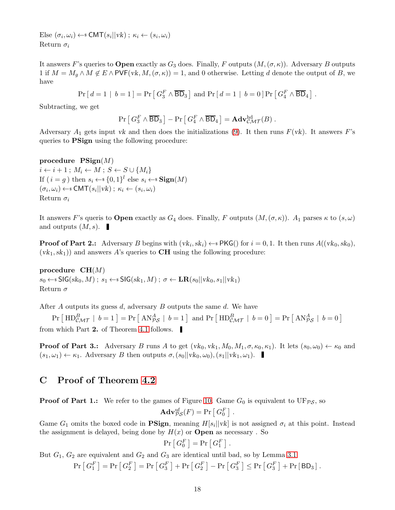Else  $(\sigma_i, \omega_i) \leftarrow \text{S} \text{CMT}(s_i || vk)$ ;  $\kappa_i \leftarrow (s_i, \omega_i)$ Return  $\sigma_i$ 

It answers F's queries to **Open** exactly as  $G_3$  does. Finally, F outputs  $(M, (\sigma, \kappa))$ . Adversary B outputs 1 if  $M = M_q \wedge M \notin E \wedge PVF(vk, M, (\sigma, \kappa)) = 1$ , and 0 otherwise. Letting d denote the output of B, we have

$$
Pr[d = 1 | b = 1] = Pr[G_3^F \wedge \overline{BD}_3] \text{ and } Pr[d = 1 | b = 0] Pr[G_4^F \wedge \overline{BD}_4].
$$

Subtracting, we get

$$
\Pr\left[G_3^F \wedge \overline{\mathsf{BD}}_3\right] - \Pr\left[G_4^F \wedge \overline{\mathsf{BD}}_4\right] = \mathbf{Adv}^{\mathrm{hd}}_{\mathcal{CMT}}(B) .
$$

Adversary  $A_1$  gets input vk and then does the initializations [\(9\)](#page-16-6). It then runs  $F(\nu k)$ . It answers F's queries to **PSign** using the following procedure:

procedure  $\text{PSign}(M)$  $i \leftarrow i + 1$ ;  $M_i \leftarrow M$ ;  $S \leftarrow S \cup \{M_i\}$ If  $(i = g)$  then  $s_i \leftarrow s \{0, 1\}^l$  else  $s_i \leftarrow s \operatorname{Sign}(M)$  $(\sigma_i, \omega_i) \leftarrow \text{S} \text{CMT}(s_i || \text{vk}) ; \ \kappa_i \leftarrow (s_i, \omega_i)$ Return  $\sigma_i$ 

It answers F's queris to **Open** exactly as  $G_4$  does. Finally, F outputs  $(M, (\sigma, \kappa))$ .  $A_1$  parses  $\kappa$  to  $(s, \omega)$ and outputs  $(M, s)$ .

**Proof of Part 2.:** Adversary B begins with  $(vk_i, sk_i) \leftarrow s \text{PKG}$  for  $i = 0, 1$ . It then runs  $A((vk_0, sk_0),$  $(vk_1, sk_1)$  and answers A's queries to **CH** using the following procedure:

procedure  $CH(M)$  $s_0 \leftarrow \$ \mathsf{SIG}(sk_0, M); s_1 \leftarrow \$ \mathsf{SIG}(sk_1, M); \sigma \leftarrow \mathbf{LR}(s_0 || vk_0, s_1 || vk_1)$ Return  $\sigma$ 

After  $A$  outputs its guess  $d$ , adversary  $B$  outputs the same  $d$ . We have

 $Pr\left[\ \text{HD}^B_{\mathcal{CMT}} \ | \ b = 1 \right] = Pr\left[\ \text{AN}^A_{\mathcal{PS}} \ | \ b = 1 \right] \text{ and } Pr\left[\ \text{HD}^B_{\mathcal{CMT}} \ | \ b = 0 \right] = Pr\left[\ \text{AN}^A_{\mathcal{PS}} \ | \ b = 0 \right]$ from which Part 2. of Theorem [4.1](#page-9-0) follows.

**Proof of Part 3.:** Adversary B runs A to get  $(vk_0, vk_1, M_0, M_1, \sigma, \kappa_0, \kappa_1)$ . It lets  $(s_0, \omega_0) \leftarrow \kappa_0$  and  $(s_1,\omega_1) \leftarrow \kappa_1$ . Adversary B then outputs  $\sigma$ ,  $(s_0||vk_0, \omega_0)$ ,  $(s_1||vk_1, \omega_1)$ .

## <span id="page-17-0"></span>C Proof of Theorem [4.2](#page-10-0)

**Proof of Part 1.:** We refer to the games of Figure [10.](#page-18-0) Game  $G_0$  is equivalent to  $UF_{\mathcal{PS}}$ , so

$$
\mathbf{Adv}_{\mathcal{PS}}^{\mathrm{uf}}(F) = \Pr\left[\,G_0^F\,\right]
$$

.

Game  $G_1$  omits the boxed code in **PSign**, meaning  $H[s_i] | vk]$  is not assigned  $\sigma_i$  at this point. Instead the assignment is delayed, being done by  $H(x)$  or **Open** as necessary. So

$$
\Pr\left[G_0^F\right] = \Pr\left[G_1^F\right].
$$

But  $G_1, G_2$  are equivalent and  $G_2$  and  $G_3$  are identical until bad, so by Lemma [3.1](#page-7-2)

$$
\Pr\left[G_1^F\right] = \Pr\left[G_2^F\right] = \Pr\left[G_3^F\right] + \Pr\left[G_2^F\right] - \Pr\left[G_3^F\right] \le \Pr\left[G_3^F\right] + \Pr\left[\mathsf{BD}_3\right].
$$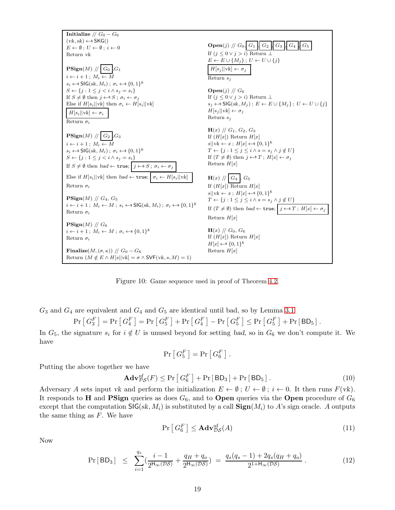

<span id="page-18-0"></span>Figure 10: Game sequence used in proof of Theorem [4.2.](#page-10-0)

 $G_3$  and  $G_4$  are equivalent and  $G_4$  and  $G_5$  are identical until bad, so by Lemma [3.1](#page-7-2)

$$
\Pr\left[G_3^F\right] = \Pr\left[G_4^F\right] = \Pr\left[G_5^F\right] + \Pr\left[G_4^F\right] - \Pr\left[G_5^F\right] \le \Pr\left[G_5^F\right] + \Pr\left[\mathsf{BD}_5\right].
$$

In  $G_5$ , the signature  $s_i$  for  $i \notin U$  is unused beyond for setting bad, so in  $G_6$  we don't compute it. We have

<span id="page-18-1"></span>
$$
\Pr\left[\,G_5^F\,\right]=\Pr\left[\,G_6^F\,\right]\,.
$$

Putting the above together we have

$$
\mathbf{Adv}_{\mathcal{PS}}^{\mathrm{uf}}(F) \le \Pr\left[G_6^F\right] + \Pr\left[\,\mathsf{BD}_3\,\right] + \Pr\left[\,\mathsf{BD}_5\,\right].\tag{10}
$$

Adversary A sets input vk and perform the initialization  $E \leftarrow \emptyset$ ;  $U \leftarrow \emptyset$ ;  $i \leftarrow 0$ . It then runs  $F(\nu k)$ . It responds to H and PSign queries as does  $G_6$ , and to Open queries via the Open procedure of  $G_6$ except that the computation  $\mathsf{SIG}(sk, M_i)$  is substituted by a call  $\mathbf{Sign}(M_i)$  to A's sign oracle. A outputs the same thing as  $F$ . We have

<span id="page-18-2"></span>
$$
\Pr\left[G_6^F\right] \le \mathbf{Adv}_{\mathcal{DS}}^{\text{uf}}(A) \tag{11}
$$

Now

<span id="page-18-3"></span>
$$
\Pr[BD_3] \leq \sum_{i=1}^{q_s} \left( \frac{i-1}{2^{H_\infty(\mathcal{DS})}} + \frac{q_H + q_o}{2^{H_\infty(\mathcal{DS})}} \right) = \frac{q_s(q_s - 1) + 2q_s(q_H + q_o)}{2^{1 + H_\infty(\mathcal{DS})}}.
$$
\n(12)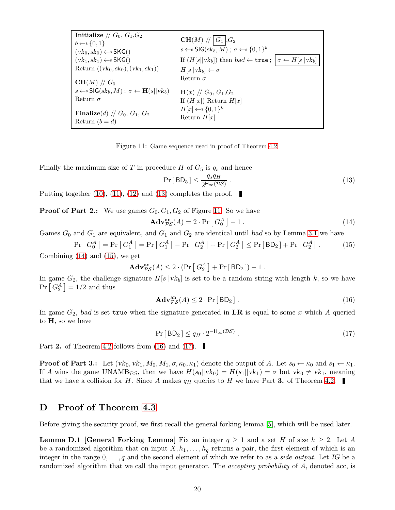<span id="page-19-1"></span>

| Initialize // $G_0$ , $G_1$ , $G_2$                                              |                                                                                        |  |
|----------------------------------------------------------------------------------|----------------------------------------------------------------------------------------|--|
| $b \leftarrow s \{0, 1\}$                                                        | $CH(M)$ // $G_1$ , $G_2$                                                               |  |
| $(vk_0, sk_0) \leftarrow$ SKG()                                                  | $s \leftarrow s \mathsf{SIG}(sk_b, M)$ ; $\sigma \leftarrow s \{0, 1\}^k$              |  |
| $(vk_1, sk_1) \leftarrow$ SKG()                                                  | If $(H[s  vk_b])$ then $bad \leftarrow \texttt{true}$ ; $\sigma \leftarrow H[s  vk_b]$ |  |
| Return $((vk_0, sk_0), (vk_1, sk_1))$                                            | $H[s  vk_b] \leftarrow \sigma$                                                         |  |
| $CH(M)$ // $G_0$                                                                 | Return $\sigma$                                                                        |  |
| $s \leftarrow s \mathsf{SIG}(sk_b, M)$ ; $\sigma \leftarrow \mathbf{H}(s  vk_b)$ | $H(x)$ // $G_0$ , $G_1$ , $G_2$                                                        |  |
| Return $\sigma$                                                                  | If $(H[x])$ Return $H[x]$                                                              |  |
| Finalize(d) // $G_0$ , $G_1$ , $G_2$<br>Return $(b = d)$                         | $H[x] \leftarrow \{0,1\}^k$<br>Return $H[x]$                                           |  |

Figure 11: Game sequence used in proof of Theorem [4.2.](#page-10-0)

Finally the maximum size of T in procedure H of  $G_5$  is  $q_s$  and hence

<span id="page-19-5"></span><span id="page-19-4"></span><span id="page-19-3"></span><span id="page-19-2"></span>
$$
\Pr[BD_5] \le \frac{q_s q_H}{2^{H_\infty(\mathcal{DS})}} \,. \tag{13}
$$

Putting together [\(10\)](#page-18-1), [\(11\)](#page-18-2), [\(12\)](#page-18-3) and [\(13\)](#page-19-2) completes the proof.

**Proof of Part 2.:** We use games  $G_0, G_1, G_2$  of Figure [11.](#page-19-3) So we have

$$
\mathbf{Adv}_{\mathcal{PS}}^{\text{an}}(A) = 2 \cdot \Pr\left[G_0^A\right] - 1. \tag{14}
$$

Games  $G_0$  and  $G_1$  are equivalent, and  $G_1$  and  $G_2$  are identical until bad so by Lemma [3.1](#page-7-2) we have

$$
\Pr\left[G_0^A\right] = \Pr\left[G_1^A\right] = \Pr\left[G_1^A\right] - \Pr\left[G_2^A\right] + \Pr\left[G_2^A\right] \le \Pr\left[\text{BD}_2\right] + \Pr\left[G_2^A\right].\tag{15}
$$

Combining [\(14\)](#page-19-4) and [\(15\)](#page-19-5), we get

<span id="page-19-6"></span>
$$
\mathbf{Adv}_{\mathcal{PS}}^{\text{an}}(A) \leq 2 \cdot (\Pr\left[G_2^A\right] + \Pr\left[\, \mathsf{BD}_2\, \right]) - 1 \; .
$$

In game  $G_2$ , the challenge signature  $H[s||vk_b]$  is set to be a random string with length k, so we have  $Pr\left[G_2^A\right] = 1/2$  and thus

$$
\mathbf{Adv}_{\mathcal{PS}}^{\text{an}}(A) \le 2 \cdot \Pr[\mathsf{BD}_2]. \tag{16}
$$

<span id="page-19-7"></span>In game  $G_2$ , bad is set true when the signature generated in  $LR$  is equal to some x which A queried to H, so we have

<span id="page-19-8"></span>
$$
\Pr[BD_2] \le q_H \cdot 2^{-H_{\infty}(\mathcal{DS})} \tag{17}
$$

Part 2. of Theorem [4.2](#page-10-0) follows from [\(16\)](#page-19-6) and [\(17\)](#page-19-7).

**Proof of Part 3.:** Let  $(vk_0, vk_1, M_0, M_1, \sigma, \kappa_0, \kappa_1)$  denote the output of A. Let  $s_0 \leftarrow \kappa_0$  and  $s_1 \leftarrow \kappa_1$ . If A wins the game UNAMB $p_S$ , then we have  $H(s_0||vk_0) = H(s_1||vk_1) = \sigma$  but  $vk_0 \neq vk_1$ , meaning that we have a collision for H. Since A makes  $q_H$  queries to H we have Part 3. of Theorem [4.2.](#page-10-0)

## <span id="page-19-0"></span>D Proof of Theorem [4.3](#page-11-0)

Before giving the security proof, we first recall the general forking lemma [\[5\]](#page-13-6), which will be used later.

**Lemma D.1 [General Forking Lemma]** Fix an integer  $q \geq 1$  and a set H of size  $h \geq 2$ . Let A be a randomized algorithm that on input  $X, h_1, \ldots, h_q$  returns a pair, the first element of which is an integer in the range  $0, \ldots, q$  and the second element of which we refer to as a *side output*. Let IG be a randomized algorithm that we call the input generator. The *accepting probability* of A, denoted acc, is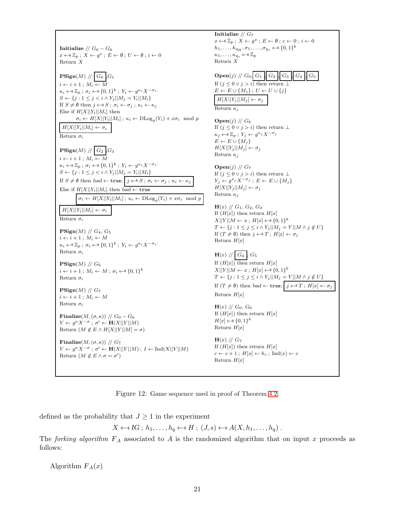Initialize //  $G_0 - G_6$  $x \leftarrow \mathscr{Z}_p$ ;  $X \leftarrow g^x$ ;  $E \leftarrow \emptyset$ ;  $U \leftarrow \emptyset$ ;  $i \leftarrow 0$ Return X  $\mathbf{PSign}(M) \text{ // } G_0 \text{ }, G_1$  $i \leftarrow i + 1$ ;  $M_i \leftarrow M$  $\kappa_i \leftarrow \mathcal{Z}_p$ ;  $\sigma_i \leftarrow \mathcal{Z}_0$  {0, 1}<sup>k</sup>;  $Y_i \leftarrow g^{\kappa_i} X^{-\sigma_i}$  $S \leftarrow \{j : 1 \leq j < i \wedge Y_j | |M_j = Y_i| |M_i\}$ If  $S \neq \emptyset$  then  $j \leftarrow S$ ;  $\sigma_i \leftarrow \sigma_j$ ;  $\kappa_i \leftarrow \kappa_j$ Else if  $H[X||Y_i||M_i]$  then  $\sigma_i \leftarrow H[X||Y_i||M_i]; \ \kappa_i \leftarrow \mathrm{DLog}_g(Y_i) + x\sigma_i \mod p$  $H[X||Y_i||M_i] \leftarrow \sigma_i$ Return  $\sigma_i$  $\mathbf{PSign}(M) \text{ // } G_2 \text{ }, G_3$  $i \leftarrow i + 1$ ;  $M_i \leftarrow M$  $\kappa_i \leftarrow \mathcal{Z}_p$ ;  $\sigma_i \leftarrow \mathcal{Z}_0$  {0, 1}<sup>k</sup>;  $Y_i \leftarrow g^{\kappa_i} X^{-\sigma_i}$  $S \leftarrow \{j : 1 \leq j < i \wedge Y_j | |M_j = Y_i| |M_i\}$ If  $S \neq \emptyset$  then bad  $\leftarrow$  true;  $j \leftarrow S$ ;  $\sigma_i \leftarrow \sigma_j$ ;  $\kappa_i \leftarrow \kappa_j$ Else if  $H[X||Y_i||M_i]$  then bad  $\leftarrow$  true  $\sigma_i \leftarrow H[X||Y_i||M_i]; \ \kappa_i \leftarrow \text{DLog}_g(Y_i) + x\sigma_i \mod p$  $H[X||Y_i||M_i] \leftarrow \sigma_i$ Return  $\sigma_i$  $\text{PSign}(M)$  //  $G_4$ ,  $G_5$  $i \leftarrow i + 1$ ;  $M_i \leftarrow M$  $\kappa_i \leftarrow \mathcal{Z}_p$ ;  $\sigma_i \leftarrow \mathcal{Z}_0$  {0, 1}<sup>k</sup>;  $Y_i \leftarrow g^{\kappa_i} X^{-\sigma_i}$ Return  $\sigma_i$  $\operatorname{\mathbf{PSign}}(M)$  //  $G_6$  $i \leftarrow i+1$ ;  $M_i \leftarrow M$ ;  $\sigma_i \leftarrow \{0,1\}^k$ Return  $\sigma_i$  $\mathbf{PSign}(M)$  //  $G_7$  $i \leftarrow i + 1$ ;  $M_i \leftarrow M$ Return  $\sigma_i$ Finalize $(M, (\sigma, \kappa))$  //  $G_0 - G_6$  $Y \leftarrow g^{\kappa} X^{-\sigma}$ ;  $\sigma' \leftarrow \mathbf{H}(X||Y||M)$ Return  $(M \notin E \wedge H[X||Y||M] = \sigma)$ Finalize $(M, (\sigma, \kappa))$  //  $G_7$  $Y \leftarrow g^{\kappa} X^{-\sigma}$ ;  $\sigma' \leftarrow \mathbf{H}(X||Y||M)$ ;  $I \leftarrow \text{Ind}(X||Y||M)$ Return  $(M \notin E \wedge \sigma = \sigma')$ Initialize  $// G_7$  $x \leftarrow \mathscr{Z}_p$ ;  $X \leftarrow g^x$ ;  $E \leftarrow \emptyset$ ;  $c \leftarrow 0$ ;  $i \leftarrow 0$  $h_1, \ldots, h_{q_H}, \sigma_1, \ldots, \sigma_{q_s} \leftarrow \{0,1\}^k$  $\kappa_1,\ldots,\kappa_{q_s}\leftarrow *\mathbb{Z}_p$ Return X **Open**(j) //  $G_0$ ,  $G_1$ ,  $G_2$ ,  $G_3$ ,  $G_4$ If  $(j \leq 0 \vee j > i)$  then return  $\perp$  $E \leftarrow E \cup \{M_j\}$ ;  $U \leftarrow U \cup \{j\}$  $H[X||Y_j||M_j] \leftarrow \sigma_j$ Return  $\kappa_i$ **Open** $(j)$  //  $G_6$ If  $(j \leq 0 \vee j > i)$  then return  $\perp$  $\kappa_j \leftarrow \mathcal{Z}_p; Y_j \leftarrow g^{\kappa_j} X^{-\sigma_j}$  $E \leftarrow E \cup \{M_i\}$  $H[X||Y_j||M_j] \leftarrow \sigma_j$ Return  $\kappa_i$  $Open(j)$  //  $G_7$ If  $(j\leq 0 \vee j > i)$  then return  $\bot$  $Y_j \leftarrow g^{\kappa_j} X^{-\sigma_j}$ ;  $E \leftarrow E \cup \{M_j\}$  $H[X||Y_j||M_j] \leftarrow \sigma_j$ Return  $\kappa_i$  $H(x)$  //  $G_1$ ,  $G_2$ ,  $G_3$ If  $(H[x])$  then return  $H[x]$  $X||Y||M \leftarrow x$ ;  $H[x] \leftarrow \{0,1\}^k$  $T \leftarrow \{j : 1 \leq j \leq i \wedge Y_j | |M_j = Y| |M \wedge j \notin U\}$ If  $(T \neq \emptyset)$  then  $j \leftarrow^* T$ ;  $H[x] \leftarrow \sigma_j$ Return  $H[x]$  $H(x)$  //  $G_4$ ,  $G_5$ If  $(H[x])$  then return  $H[x]$  $X||Y||M \leftarrow x$ ;  $H[x] \leftarrow \{0,1\}^k$  $T \leftarrow \{j : 1 \leq j \leq i \wedge Y_j | |M_j = Y| |M \wedge j \notin U\}$ If  $(T \neq \emptyset)$  then bad  $\leftarrow$  true;  $j \leftarrow^* T$ ;  $H[x] \leftarrow \sigma_j$ Return  $H[x]$  $H(x)$  //  $G_0$ ,  $G_6$ If  $(H[x])$  then return  $H[x]$  $H[x] \leftarrow$  {0, 1}<sup>k</sup> Return  $H[x]$  $H(x)$  //  $G_7$ If  $(H[x])$  then return  $H[x]$  $c \leftarrow c + 1$ ;  $H[x] \leftarrow h_c$ ; Ind $(x) \leftarrow c$ Return  $H[x]$ 

<span id="page-20-0"></span>Figure 12: Game sequence used in proof of Theorem [4.2.](#page-10-0)

defined as the probability that  $J \geq 1$  in the experiment

 $X \leftarrow s \text{ IG}; h_1, \ldots, h_q \leftarrow s H; (J, s) \leftarrow s A(X, h_1, \ldots, h_q).$ 

The forking algorithm  $F_A$  associated to A is the randomized algorithm that on input x proceeds as follows:

Algorithm  $F_A(x)$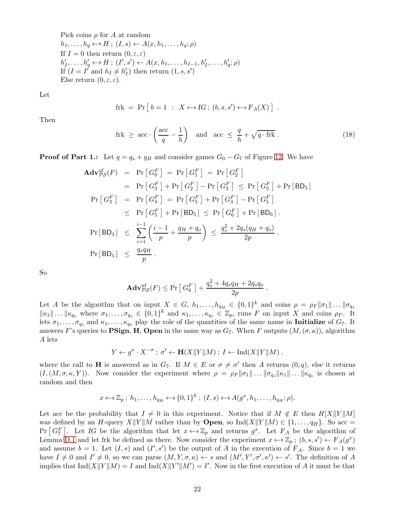Pick coins  $\rho$  for A at random  $h_1, \ldots, h_q \leftarrow * H; (I, s) \leftarrow A(x, h_1, \ldots, h_q; \rho)$ If  $I = 0$  then return  $(0, \varepsilon, \varepsilon)$  $h'_1, \ldots, h'_q \leftarrow^s H; (I', s') \leftarrow A(x, h_1, \ldots, h_{I-1}, h'_I, \ldots, h'_q; \rho)$ If  $(I = I^{\dagger} \text{ and } h_I \neq h'_I)$  then return  $(1, s, s')$ Else return  $(0, \varepsilon, \varepsilon)$ .

Let

$$
frk = Pr [b = 1 : X \leftarrow s IG; (b, s, s') \leftarrow s F_A(X) ].
$$

Then

$$
\text{frk} \geq \text{acc} \cdot \left(\frac{\text{acc}}{q} - \frac{1}{h}\right) \quad \text{and} \quad \text{acc} \leq \frac{q}{h} + \sqrt{q \cdot \text{frk}} \,. \tag{18}
$$

**Proof of Part 1.:** Let  $q = q_s + q_H$  and consider games  $G_0 - G_7$  of Figure [12.](#page-20-0) We have

$$
\begin{aligned}\n\mathbf{Adv}_{PS}^{\text{uf}}(F) &= \Pr\left[G_0^F\right] = \Pr\left[G_1^F\right] = \Pr\left[G_2^F\right] \\
&= \Pr\left[G_3^F\right] + \Pr\left[G_2^F\right] - \Pr\left[G_3^F\right] \le \Pr\left[G_3^F\right] + \Pr\left[\mathbf{BD}_3\right] \\
\Pr\left[G_3^F\right] &= \Pr\left[G_4^F\right] = \Pr\left[G_5^F\right] + \Pr\left[G_4^F\right] - \Pr\left[G_5^F\right] \\
&\le \Pr\left[G_5^F\right] + \Pr\left[\mathbf{BD}_5\right] \le \Pr\left[G_6^F\right] + \Pr\left[\mathbf{BD}_6\right]. \\
\Pr\left[\mathbf{BD}_3\right] &\le \sum_{i=1}^{i-1} \left(\frac{i-1}{p} + \frac{q_H + q_o}{p}\right) \le \frac{q_s^2 + 2q_s(q_H + q_o)}{2p} \\
\Pr\left[\mathbf{BD}_5\right] &\le \frac{q_s q_H}{p}.\n\end{aligned}
$$

So

$$
\mathbf{Adv}_{\mathcal{PS}}^{\text{uf}}(F) \leq \Pr\left[G_6^F\right] + \frac{q_s^2 + 4q_sq_H + 2q_sq_o}{2p}.
$$

Let A be the algorithm that on input  $X \in G$ ,  $h_1, \ldots, h_{q_H} \in \{0,1\}^k$  and coins  $\rho = \rho_F ||\sigma_1|| \ldots ||\sigma_{q_s}$  $\|\kappa_1\| \dots \| \kappa_{q_s}$  where  $\sigma_1, \dots, \sigma_{q_s} \in \{0,1\}^k$  and  $\kappa_1, \dots, \kappa_{q_s} \in \mathbb{Z}_p$ , runs F on input X and coins  $\rho_F$ . It lets  $\sigma_1, \ldots, \sigma_{q_s}$  and  $\kappa_1, \ldots, \kappa_{q_s}$  play the role of the quantities of the same name in **Initialize** of  $G_7$ . It answers F's queries to **PSign, H, Open** in the same way as  $G_7$ . When F outputs  $(M, (\sigma, \kappa))$ , algorithm A lets

$$
Y \leftarrow g^{\kappa} \cdot X^{-\sigma} \, ; \, \sigma' \leftarrow \mathbf{H}(X||Y||M) \, ; \, I \leftarrow \mathrm{Ind}(X||Y||M) \, .
$$

where the call to **H** is answered as in  $G_7$ . If  $M \in E$  or  $\sigma \neq \sigma'$  then A returns  $(0, q)$ , else it returns  $(I,(M,\sigma,\kappa,Y))$ . Now consider the experiment where  $\rho = \rho_F ||\sigma_1|| \dots ||\sigma_{q_s}|| \kappa_1|| \dots ||\kappa_{q_s}$  is chosen at random and then

$$
x \leftarrow \mathbb{Z}_p
$$
;  $h_1, \ldots, h_{q_H} \leftarrow \mathbb{S} \{0, 1\}^k$ ;  $(I, s) \leftarrow \mathbb{S} A(g^x, h_1, \ldots, h_{q_H}; \rho)$ .

Let acc be the probability that  $I \neq 0$  in this experiment. Notice that if  $M \notin E$  then  $H[X||Y||M]$ was defined by an H-query  $X||Y||M$  rather than by **Open**, so Ind(X $||Y||M \in \{1, \ldots, q_H\}$ . So acc =  $Pr\left[G_7^F\right]$ . Let IG be the algorithm that let  $x \leftarrow \mathscr{Z}_p$  and returns  $g^x$ . Let  $F_A$  be the algorithm of Lemma [D.1](#page-19-8) and let frk be defined as there. Now consider the experiment  $x \leftarrow s \mathbb{Z}_p$ ;  $(b, s, s') \leftarrow F_A(g^x)$ and assume  $b = 1$ . Let  $(I, s)$  and  $(I', s')$  be the output of A in the execution of  $F_A$ . Since  $b = 1$  we have  $I \neq 0$  and  $I' \neq 0$ , so we can parse  $(M, Y, \sigma, \kappa) \leftarrow s$  and  $(M', Y', \sigma', \kappa') \leftarrow s'$ . The definition of A implies that  $\text{Ind}(X||Y||M) = I$  and  $\text{Ind}(X||Y'||M') = I'$ . Now in the first execution of A it must be that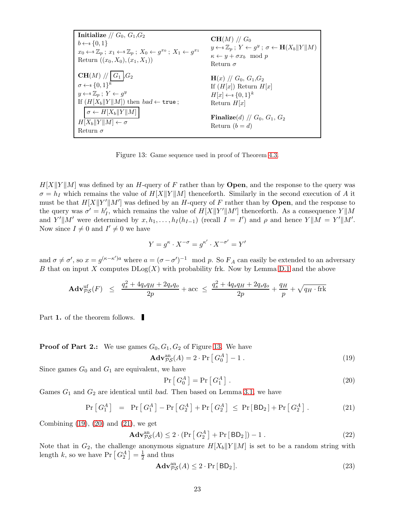**Initialize** // 
$$
G_0, G_1, G_2
$$
  
\n $b \leftarrow \{0, 1\}$   
\n $x_0 \leftarrow \{x_0\}; x_1 \leftarrow \{x_0\}; X_0 \leftarrow g^{x_0}; X_1 \leftarrow g^{x_1}$   
\n $x_0 \leftarrow \{x_0\}; x_1 \leftarrow \{x_0\}; X_0 \leftarrow g^{x_0}; X_1 \leftarrow g^{x_1}$   
\n $x_0 \leftarrow \{x_0\}; x_1 \leftarrow \{x_0\}; Y \leftarrow g^{y}; \sigma \leftarrow \mathbf{H}(X_b||Y||M)$   
\n $x_0 \leftarrow \{x_0\}; X_0 \leftarrow \{x_0\}; X_1 \leftarrow \{x_0\}; Y \leftarrow g^{y}$   
\n $x \leftarrow y + \sigma x_b \mod p$   
\n $x \leftarrow y + \sigma x_b \mod p$   
\n $x \leftarrow y + \sigma x_b \mod p$   
\n $x \leftarrow y + \sigma x_b \mod p$   
\n $x \leftarrow y + \sigma x_b \mod p$   
\n $x \leftarrow y + \sigma x_b \mod p$   
\n $x \leftarrow y + \sigma x_b \mod p$   
\n $x \leftarrow y + \sigma x_b \mod p$   
\n $x \leftarrow y + \sigma x_b \mod p$   
\n $x \leftarrow y + \sigma x_b \mod p$   
\n $x \leftarrow y + \sigma x_b \mod p$   
\n $x \leftarrow y + \sigma x_b \mod p$   
\n $x \leftarrow y + \sigma x_b \mod p$   
\n $x \leftarrow y + \sigma x_b \mod p$   
\n $x \leftarrow y + \sigma x_b \mod p$   
\n $x \leftarrow y + \sigma x_b \mod p$   
\n $x \leftarrow y + \sigma x_b \mod p$   
\n $x \leftarrow y + \sigma x_b \mod p$   
\n $x \leftarrow y + \sigma x_b \mod p$   
\n $x \leftarrow y + \sigma x_b \mod p$   
\n $x \leftarrow y + \sigma x_b \mod p$   
\n $x \leftarrow y + \sigma x_b \mod p$   
\n $x \leftarrow y + \sigma x_b \mod p$   
\n $x \leftarrow y + \sigma$ 

<span id="page-22-0"></span>Figure 13: Game sequence used in proof of Theorem [4.3.](#page-11-0)

 $H[X||Y||M]$  was defined by an H-query of F rather than by **Open**, and the response to the query was  $\sigma = h_I$  which remains the value of  $H[X||Y||M]$  thenceforth. Similarly in the second execution of A it must be that  $H[X||Y'||M']$  was defined by an H-query of F rather than by **Open**, and the response to the query was  $\sigma' = h'_I$ , which remains the value of  $H[X||Y'||M']$  thenceforth. As a consequence  $Y||M$ and Y'||M' were determined by  $x, h_1, \ldots, h_I(h_{I-1})$  (recall  $I = I'$ ) and  $\rho$  and hence  $Y||M = Y'||M'$ . Now since  $I \neq 0$  and  $I' \neq 0$  we have

$$
Y = g^\kappa \cdot X^{-\sigma} = g^{\kappa'} \cdot X^{-\sigma'} = Y'
$$

and  $\sigma \neq \sigma'$ , so  $x = g^{(\kappa - \kappa')a}$  where  $a = (\sigma - \sigma')^{-1} \mod p$ . So  $F_A$  can easily be extended to an adversary B that on input X computes  $D\text{Log}(X)$  with probability frk. Now by Lemma [D.1](#page-19-8) and the above

$$
\mathbf{Adv}_{\mathcal{PS}}^{\text{uf}}(F) \leq \frac{q_s^2 + 4q_s q_H + 2q_s q_o}{2p} + \text{acc} \leq \frac{q_s^2 + 4q_s q_H + 2q_s q_o}{2p} + \frac{q_H}{p} + \sqrt{q_H \cdot \text{frk}}
$$

Part 1. of the theorem follows.

**Proof of Part 2.:** We use games  $G_0, G_1, G_2$  of Figure [13.](#page-22-0) We have

$$
\mathbf{Adv}_{\mathcal{PS}}^{\text{an}}(A) = 2 \cdot \Pr\left[G_0^A\right] - 1. \tag{19}
$$

Since games  $G_0$  and  $G_1$  are equivalent, we have

<span id="page-22-2"></span><span id="page-22-1"></span>
$$
\Pr\left[G_0^A\right] = \Pr\left[G_1^A\right].\tag{20}
$$

Games  $G_1$  and  $G_2$  are identical until bad. Then based on Lemma [3.1,](#page-7-2) we have

<span id="page-22-3"></span>
$$
\Pr\left[G_1^A\right] = \Pr\left[G_1^A\right] - \Pr\left[G_2^A\right] + \Pr\left[G_2^A\right] \le \Pr\left[\text{BD}_2\right] + \Pr\left[G_2^A\right].\tag{21}
$$

Combining  $(19)$ ,  $(20)$  and  $(21)$ , we get

$$
\mathbf{Adv}_{\mathcal{PS}}^{\text{an}}(A) \le 2 \cdot (\Pr\left[G_2^A\right] + \Pr\left[\mathbf{BD}_2\right]) - 1. \tag{22}
$$

Note that in  $G_2$ , the challenge anonymous signature  $H[X_b||Y||M]$  is set to be a random string with length k, so we have  $Pr\left[G_2^A\right] = \frac{1}{2}$  $\frac{1}{2}$  and thus

<span id="page-22-4"></span>
$$
\mathbf{Adv}_{\mathcal{PS}}^{\text{an}}(A) \le 2 \cdot \Pr[\mathsf{BD}_2].\tag{23}
$$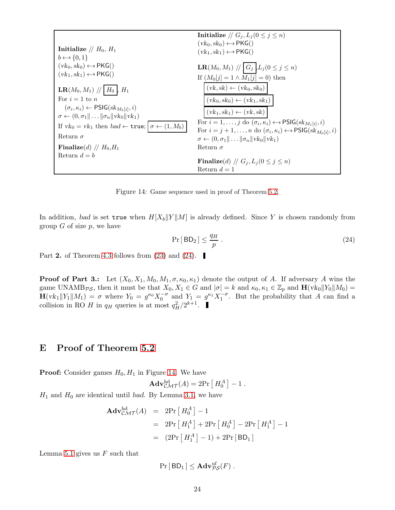|                                                                                      | Initialize // $G_i, L_i (0 \leq j \leq n)$                                                                                                                                                           |
|--------------------------------------------------------------------------------------|------------------------------------------------------------------------------------------------------------------------------------------------------------------------------------------------------|
| Initialize // $H_0$ , $H_1$                                                          | $(vk_0, sk_0) \leftarrow s PKG()$<br>$(vk_1, sk_1) \leftarrow \{ \mathsf{PKG}(\mathsf{C})\}$                                                                                                         |
| $b \leftarrow s \{0,1\}$                                                             |                                                                                                                                                                                                      |
| $(vk_0, sk_0) \leftarrow \{ \text{PKG}(\text{)}\}$                                   | <b>LR</b> ( <i>M</i> <sub>0</sub> , <i>M</i> <sub>1</sub> ) // $G_j$ $L_j(0 \le j \le n)$                                                                                                            |
| $(vk_1, sk_1) \leftarrow s PKG()$                                                    | If $(M_0[j] = 1 \wedge M_1[j] = 0)$ then                                                                                                                                                             |
| $LR(M_0, M_1)$ // $H_0$ , $H_1$                                                      | $(vk, sk) \leftarrow (vk_0, sk_0)$                                                                                                                                                                   |
| For $i=1$ to n                                                                       | $(vk_0, sk_0) \leftarrow (vk_1, sk_1)$                                                                                                                                                               |
| $(\sigma_i, \kappa_i) \leftarrow \mathsf{PSIG}(sk_{M_b[i]}, i)$                      | $(vk_1, sk_1) \leftarrow (vk, sk)$                                                                                                                                                                   |
| $\sigma \leftarrow (0, \sigma_1    \dots    \sigma_n    \text{vk}_0    \text{vk}_1)$ |                                                                                                                                                                                                      |
| If $vk_0 = vk_1$ then $bad \leftarrow true;  \sigma \leftarrow (1, M_b) $            | For $i = 1, \ldots, j$ do $(\sigma_i, \kappa_i) \leftarrow s$ PSIG(sk <sub>M<sub>1</sub>[i]</sub> , i)<br>For $i = j + 1, , n$ do $(\sigma_i, \kappa_i) \leftarrow$ PSIG $(\mathbf{sk}_{M_0[i]}, i)$ |
| Return $\sigma$                                                                      | $\sigma \leftarrow (0, \sigma_1 \  \dots \  \sigma_n \  v k_0 \  v k_1)$                                                                                                                             |
| Finalize(d) // $H_0$ , $H_1$                                                         | Return $\sigma$                                                                                                                                                                                      |
| Return $d = b$                                                                       |                                                                                                                                                                                                      |
|                                                                                      | Finalize(d) // $G_i, L_i (0 \leq j \leq n)$                                                                                                                                                          |
|                                                                                      | Return $d=1$                                                                                                                                                                                         |

<span id="page-23-2"></span><span id="page-23-1"></span>Figure 14: Game sequence used in proof of Theorem [5.2.](#page-13-0)

In addition, bad is set true when  $H[X_b||Y||M]$  is already defined. Since Y is chosen randomly from group  $G$  of size  $p$ , we have

$$
\Pr[BD_2] \le \frac{q_H}{p} \,. \tag{24}
$$

Part 2. of Theorem [4.3](#page-11-0) follows from  $(23)$  and  $(24)$ .

**Proof of Part 3.:** Let  $(X_0, X_1, M_0, M_1, \sigma, \kappa_0, \kappa_1)$  denote the output of A. If adversary A wins the game UNAMB<sub>PS</sub>, then it must be that  $X_0, X_1 \in G$  and  $|\sigma| = k$  and  $\kappa_0, \kappa_1 \in \mathbb{Z}_p$  and  $\mathbf{H}(vk_0||Y_0||M_0) =$  $\mathbf{H}(vk_1||Y_1||M_1) = \sigma$  where  $Y_0 = g^{\kappa_0} X_0^{-\sigma}$  and  $Y_1 = g^{\kappa_1} X_1^{-\sigma}$ . But the probability that A can find a collision in RO H in  $q_H$  queries is at most  $q_H^2/2^{k+1}$ .

# <span id="page-23-0"></span>E Proof of Theorem [5.2](#page-13-0)

**Proof:** Consider games  $H_0, H_1$  in Figure [14.](#page-23-2) We have

$$
\mathbf{Adv}_{\mathcal{CMT}}^{\mathrm{hd}}(A) = 2\mathrm{Pr}\left[H_0^A\right] - 1.
$$

 $H_1$  and  $H_0$  are identical until bad. By Lemma [3.1,](#page-7-2) we have

$$
\begin{aligned} \mathbf{Adv}_{\mathcal{CMT}}^{\mathrm{hd}}(A) &= 2\mathrm{Pr}\left[\,H_0^A\,\right] - 1 \\ &= 2\mathrm{Pr}\left[\,H_1^A\,\right] + 2\mathrm{Pr}\left[\,H_0^A\,\right] - 2\mathrm{Pr}\left[\,H_1^A\,\right] - 1 \\ &= (2\mathrm{Pr}\left[\,H_1^A\,\right] - 1) + 2\mathrm{Pr}\left[\,\mathsf{BD}_1\,\right] \end{aligned}
$$

Lemma [5.1](#page-13-7) gives us  $F$  such that

$$
\Pr[\,\mathsf{BD}_1\,]\leq \mathbf{Adv}_{\mathcal{PS}}^{\text{uf}}(F)\ .
$$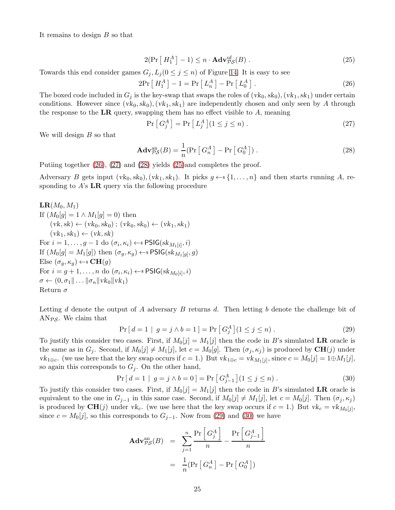<span id="page-24-3"></span>It remains to design B so that

<span id="page-24-0"></span>
$$
2(\Pr\left[H_1^A\right] - 1) \le n \cdot \mathbf{Adv}_{\mathcal{PS}}^{\text{uf}}(B) \,. \tag{25}
$$

Towards this end consider games  $G_j, L_j$  ( $0 \leq j \leq n$ ) of Figure [14.](#page-23-2) It is easy to see

$$
2Pr\left[H_1^A\right] - 1 = Pr\left[L_n^A\right] - Pr\left[L_0^A\right].\tag{26}
$$

The boxed code included in  $G_j$  is the key-swap that swaps the roles of  $(vk_0, sk_0), (vk_1, sk_1)$  under certain conditions. However since  $(vk_0, sk_0), (vk_1, sk_1)$  are independently chosen and only seen by A through the response to the LR query, swapping them has no effect visible to  $A$ , meaning

<span id="page-24-1"></span>
$$
\Pr\left[G_j^A\right] = \Pr\left[L_j^A\right](1 \le j \le n) \,. \tag{27}
$$

We will design  $B$  so that

<span id="page-24-2"></span>
$$
\mathbf{Adv}_{\mathcal{PS}}^{\text{an}}(B) = \frac{1}{n} (\Pr\left[G_n^A\right] - \Pr\left[G_0^A\right])\,. \tag{28}
$$

Putiing together [\(26\)](#page-24-0), [\(27\)](#page-24-1) and [\(28\)](#page-24-2) yields [\(25\)](#page-24-3)and completes the proof.

Adversary B gets input  $(vk_0, sk_0), (vk_1, sk_1)$ . It picks  $g \leftarrow s \{1, ..., n\}$  and then starts running A, responding to  $A$ 's  $LR$  query via the following procedure

 $LR(M_0, M_1)$ If  $(M_0[q] = 1 \wedge M_1[q] = 0)$  then  $(vk, sk) \leftarrow (vk_0, sk_0)$ ;  $(vk_0, sk_0) \leftarrow (vk_1, sk_1)$  $(vk_1, sk_1) \leftarrow (vk, sk)$ For  $i = 1, ..., g - 1$  do  $(\sigma_i, \kappa_i) \leftarrow s$  PSIG $(s k_{M_1[i]}, i)$ If  $(M_0[g] = M_1[g])$  then  $(\sigma_g, \kappa_g) \leftarrow$  PSIG(sk $M_1[g], g)$ Else  $(\sigma_q, \kappa_q) \leftarrow \text{S} \times \text{CH}(g)$ For  $i = g + 1, \ldots, n$  do  $(\sigma_i, \kappa_i) \leftarrow s$  PSIG $(s k_{M_0[i]}, i)$  $\sigma \leftarrow (0, \sigma_1 \| \dots \| \sigma_n \| \text{v} \cdot \text{k}_0 \| \text{v} \cdot \text{k}_1)$ Return  $\sigma$ 

Letting d denote the output of A adversary  $B$  returns d. Then letting b denote the challenge bit of AN $_{PS}$ . We claim that

<span id="page-24-4"></span>
$$
Pr[d = 1 | g = j \land b = 1] = Pr[G_j^A](1 \le j \le n).
$$
\n(29)

To justify this consider two cases. First, if  $M_0[j] = M_1[j]$  then the code in B's simulated LR oracle is the same as in  $G_j$ . Second, if  $M_0[j] \neq M_1[j]$ , let  $c = M_0[g]$ . Then  $(\sigma_j, \kappa_j)$  is produced by  $CH(j)$  under  $vk_{1\oplus c}$ . (we use here that the key swap occurs if  $c = 1$ .) But  $vk_{1\oplus c} = vk_{M_1[j]},$  since  $c = M_0[j] = 1 \oplus M_1[j],$ so again this corresponds to  $G_j$ . On the other hand,

<span id="page-24-5"></span>
$$
\Pr\left[d=1 \mid g=j \land b=0\right] = \Pr\left[G_{j-1}^{A}\right](1 \leq j \leq n). \tag{30}
$$

To justify this consider two cases. First, if  $M_0[j] = M_1[j]$  then the code in B's simulated LR oracle is equivalent to the one in  $G_{j-1}$  in this same case. Second, if  $M_0[j] \neq M_1[j]$ , let  $c = M_0[j]$ . Then  $(\sigma_j, \kappa_j)$ is produced by  $\text{CH}(j)$  under vk<sub>c</sub>. (we use here that the key swap occurs if  $c = 1$ .) But vk<sub>c</sub> = vk<sub>M0</sub>[j], since  $c = M_0[j]$ , so this corresponds to  $G_{j-1}$ . Now from [\(29\)](#page-24-4) and [\(30\)](#page-24-5) we have

$$
\begin{aligned} \mathbf{Adv}_{\mathcal{PS}}^{\text{an}}(B) &= \sum_{j=1}^{n} \frac{\Pr\left[G_j^A\right]}{n} - \frac{\Pr\left[G_{j-1}^A\right]}{n} \\ &= \frac{1}{n} (\Pr\left[G_n^A\right] - \Pr\left[G_0^A\right]) \end{aligned}
$$